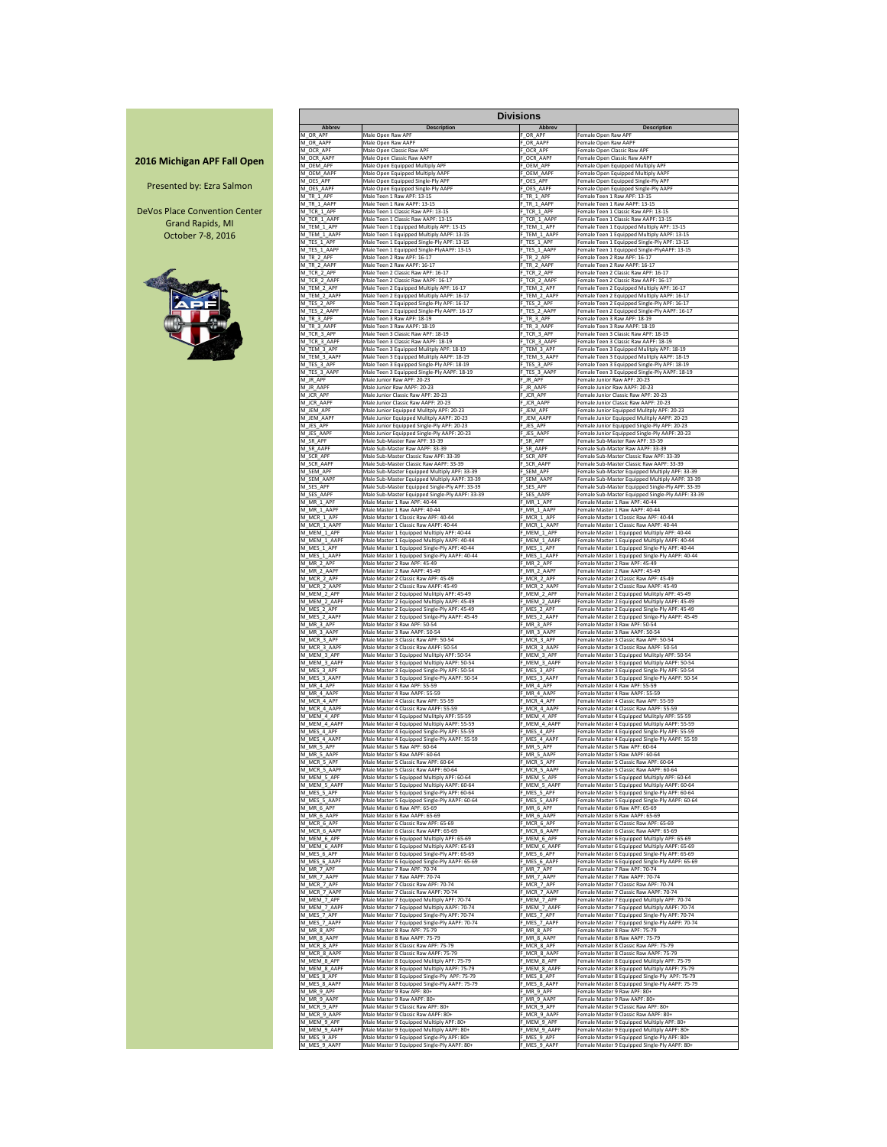|                     |                             |                                                                           | <b>Divisions</b>            |                                                                               |
|---------------------|-----------------------------|---------------------------------------------------------------------------|-----------------------------|-------------------------------------------------------------------------------|
|                     | <b>Abbrev</b>               | <b>Description</b>                                                        | <b>Abbrev</b>               | <b>Description</b>                                                            |
|                     | M_OR_APF                    | Male Open Raw APF                                                         | F OR APF                    | Female Open Raw APF                                                           |
|                     | M OR AAPF                   | Male Open Raw AAPF                                                        | F OR AAPF                   | Female Open Raw AAPF                                                          |
|                     | M_OCR_APF                   | Male Open Classic Raw APF                                                 | F_OCR_APF                   | Female Open Classic Raw APF                                                   |
| <b>PF Fall Open</b> | M OCR AAPF                  | Male Open Classic Raw AAPF                                                | F_OCR_AAPF                  | Female Open Classic Raw AAPF                                                  |
|                     | M OEM APF                   | Male Open Equipped Multiply APF                                           | F_OEM_APF                   | Female Open Equipped Multiply APF                                             |
|                     | M OEM AAPF                  | Male Open Equipped Multiply AAPF                                          | F OEM AAPF                  | Female Open Equipped Multiply AAPF                                            |
| zra Salmon          | M OES APF                   | Male Open Equipped Single-Ply APF                                         | F OES APF                   | Female Open Equipped Single-Ply APF                                           |
|                     | M OES AAPF                  | Male Open Equipped Single-Ply AAPF                                        | F_OES_AAPF                  | Female Open Equipped Single-Ply AAPF                                          |
|                     | M_TR_1_APF                  | Male Teen 1 Raw APF: 13-15                                                | F_TR_1_APF                  | Female Teen 1 Raw APF: 13-15                                                  |
|                     | M TR 1 AAPF                 | Male Teen 1 Raw AAPF: 13-15                                               | F TR 1 AAPF                 | Female Teen 1 Raw AAPF: 13-15                                                 |
| ention Center       | M TCR 1 APF                 | Male Teen 1 Classic Raw APF: 13-15                                        | F TCR 1 APF                 | Female Teen 1 Classic Raw APF: 13-15                                          |
|                     | M TCR 1 AAPF                | Male Teen 1 Classic Raw AAPF: 13-15                                       | F TCR 1 AAPF                | Female Teen 1 Classic Raw AAPF: 13-15                                         |
| ds, MI              | M TEM 1 APF                 | Male Teen 1 Equipped Multiply APF: 13-15                                  | F TEM 1 APF                 | Female Teen 1 Equipped Multiply APF: 13-15                                    |
| 3, 2016             | M TEM 1 AAPF                | Male Teen 1 Equipped Multiply AAPF: 13-15                                 | F_TEM_1_AAPF                | Female Teen 1 Equipped Multiply AAPF: 13-15                                   |
|                     | M_TES_1_APF                 | Male Teen 1 Equipped Single-Ply APF: 13-15                                | F_TES_1_APF                 | Female Teen 1 Equipped Single-Ply APF: 13-15                                  |
|                     | M TES 1 AAPF                | Male Teen 1 Equipped Single-PlyAAPF: 13-15                                | F_TES_1_AAPF                | Female Teen 1 Equipped Single-PlyAAPF: 13-15                                  |
|                     | M TR 2 APF                  | Male Teen 2 Raw APF: 16-17                                                | F_TR_2_APF                  | Female Teen 2 Raw APF: 16-17                                                  |
|                     | M TR 2 AAPF                 | Male Teen 2 Raw AAPF: 16-17                                               | F TR 2 AAPF                 | Female Teen 2 Raw AAPF: 16-17                                                 |
|                     | M TCR 2 APF                 | Male Teen 2 Classic Raw APF: 16-17                                        | F TCR 2 APF                 | Female Teen 2 Classic Raw APF: 16-17                                          |
|                     | M TCR 2 AAPF                | Male Teen 2 Classic Raw AAPF: 16-17                                       | F TCR 2 AAPF                | Female Teen 2 Classic Raw AAPF: 16-17                                         |
|                     | M TEM 2 APF                 | Male Teen 2 Equipped Multiply APF: 16-17                                  | F_TEM_2_APF                 | Female Teen 2 Equipped Multiply APF: 16-17                                    |
|                     | M_TEM_2_AAPF                | Male Teen 2 Equipped Multiply AAPF: 16-17                                 | F_TEM_2_AAPF                | Female Teen 2 Equipped Multiply AAPF: 16-17                                   |
|                     | M TES_2_APF                 | Male Teen 2 Equipped Single-Ply APF: 16-17                                | F TES 2 APF                 | Female Teen 2 Equipped Single-Ply APF: 16-17                                  |
|                     | M TES 2 AAPF                | Male Teen 2 Equipped Single-Ply AAPF: 16-17                               | F TES 2 AAPF                | Female Teen 2 Equipped Single-Ply AAPF: 16-17                                 |
|                     | M TR 3 APF                  | Male Teen 3 Raw APF: 18-19                                                | F TR 3 APF                  | Female Teen 3 Raw APF: 18-19                                                  |
|                     | M_TR_3_AAPF                 | Male Teen 3 Raw AAPF: 18-19                                               | F_TR_3_AAPF                 | Female Teen 3 Raw AAPF: 18-19                                                 |
|                     | M_TCR_3_APF                 | Male Teen 3 Classic Raw APF: 18-19                                        | F_TCR_3_APF                 | Female Teen 3 Classic Raw APF: 18-19                                          |
|                     | M_TCR_3_AAPF                | Male Teen 3 Classic Raw AAPF: 18-19                                       | F_TCR_3_AAPF                | Female Teen 3 Classic Raw AAPF: 18-19                                         |
|                     | M_TEM_3_APF                 | Male Teen 3 Equipped Mulitply APF: 18-19                                  | F_TEM_3_APF                 | Female Teen 3 Equipped Mulitply APF: 18-19                                    |
|                     | M TEM 3 AAPF                | Male Teen 3 Equipped Mulitply AAPF: 18-19                                 | F_TEM_3_AAPF                | Female Teen 3 Equipped Mulitply AAPF: 18-19                                   |
|                     | M TES 3 APF                 | Male Teen 3 Equipped Single-Ply APF: 18-19                                | F TES 3 APF                 | Female Teen 3 Equipped Single-Ply APF: 18-19                                  |
|                     | M_TES_3_AAPF<br>M JR APF    | Male Teen 3 Equipped Single-Ply AAPF: 18-19<br>Male Junior Raw APF: 20-23 | F_TES_3_AAPF                | Female Teen 3 Equipped Single-Ply AAPF: 18-19<br>Female Junior Raw APF: 20-23 |
|                     | M_JR_AAPF                   | Male Junior Raw AAPF: 20-23                                               | F JR APF<br>F_JR_AAPF       | Female Junior Raw AAPF: 20-23                                                 |
|                     | M_JCR_APF                   | Male Junior Classic Raw APF: 20-23                                        | F_JCR_APF                   | Female Junior Classic Raw APF: 20-23                                          |
|                     | M JCR AAPF                  | Male Junior Classic Raw AAPF: 20-23                                       | F JCR AAPF                  | Female Junior Classic Raw AAPF: 20-23                                         |
|                     | M JEM APF                   | Male Junior Equipped Mulitply APF: 20-23                                  | F JEM APF                   | Female Junior Equipped Mulitply APF: 20-23                                    |
|                     | M_JEM_AAPF                  | Male Junior Equipped Mulitply AAPF: 20-23                                 | F_JEM_AAPF                  | Female Junior Equipped Mulitply AAPF: 20-23                                   |
|                     | M_JES_APF                   | Male Junior Equipped Single-Ply APF: 20-23                                | F_JES_APF                   | Female Junior Equipped Single-Ply APF: 20-23                                  |
|                     | M_JES_AAPF                  | Male Junior Equipped Single-Ply AAPF: 20-23                               | F_JES_AAPF                  | Female Junior Equipped Single-Ply AAPF: 20-23                                 |
|                     | M SR APF                    | Male Sub-Master Raw APF: 33-39                                            | F SR APF                    | Female Sub-Master Raw APF: 33-39                                              |
|                     | M SR AAPF                   | Male Sub-Master Raw AAPF: 33-39                                           | F SR AAPF                   | Female Sub-Master Raw AAPF: 33-39                                             |
|                     | M_SCR_APF                   | Male Sub-Master Classic Raw APF: 33-39                                    | F_SCR_APF                   | Female Sub-Master Classic Raw APF: 33-39                                      |
|                     | M SCR AAPF                  | Male Sub-Master Classic Raw AAPF: 33-39                                   | F SCR AAPF                  | Female Sub-Master Classic Raw AAPF: 33-39                                     |
|                     | M SEM APF                   | Male Sub-Master Equipped Multiply APF: 33-39                              | F_SEM_APF                   | Female Sub-Master Equipped Multiply APF: 33-39                                |
|                     | M SEM AAPF                  | Male Sub-Master Equipped Multiply AAPF: 33-39                             | F_SEM_AAPF                  | Female Sub-Master Equipped Multiply AAPF: 33-39                               |
|                     | M_SES_APF                   | Male Sub-Master Equipped Single-Ply APF: 33-39                            | F_SES_APF                   | Female Sub-Master Equipped Single-Ply APF: 33-39                              |
|                     | M_SES_AAPF                  | Male Sub-Master Equipped Single-Ply AAPF: 33-39                           | F_SES_AAPF                  | Female Sub-Master Equipped Single-Ply AAPF: 33-39                             |
|                     | M MR 1 APF                  | Male Master 1 Raw APF: 40-44                                              | F_MR_1_APF                  | Female Master 1 Raw APF: 40-44                                                |
|                     | M MR 1 AAPF                 | Male Master 1 Raw AAPF: 40-44                                             | F MR 1 AAPF                 | Female Master 1 Raw AAPF: 40-44                                               |
|                     | M MCR 1 APF                 | Male Master 1 Classic Raw APF: 40-44                                      | F_MCR_1_APF                 | Female Master 1 Classic Raw APF: 40-44                                        |
|                     | M MCR 1 AAPF                | Male Master 1 Classic Raw AAPF: 40-44                                     | F_MCR_1_AAPF                | Female Master 1 Classic Raw AAPF: 40-44                                       |
|                     | M MEM 1 APF                 | Male Master 1 Equipped Multiply APF: 40-44                                | F_MEM_1_APF                 | Female Master 1 Equipped Multiply APF: 40-44                                  |
|                     | M MEM 1 AAPF                | Male Master 1 Equipped Multiply AAPF: 40-44                               | F MEM 1 AAPF                | Female Master 1 Equipped Multiply AAPF: 40-44                                 |
|                     | M_MES_1_APF                 | Male Master 1 Equipped Single-Ply APF: 40-44                              | F MES 1 APF                 | Female Master 1 Equipped Single-Ply APF: 40-44                                |
|                     | M MES 1 AAPF                | Male Master 1 Equipped Single-Ply AAPF: 40-44                             | F MES 1 AAPF                | Female Master 1 Equipped Single-Ply AAPF: 40-44                               |
|                     | M MR 2 APF                  | Male Master 2 Raw APF: 45-49                                              | F MR 2 APF                  | Female Master 2 Raw APF: 45-49                                                |
|                     | M MR 2 AAPF                 | Male Master 2 Raw AAPF: 45-49<br>Male Master 2 Classic Raw APF: 45-49     | F_MR_2_AAPF                 | Female Master 2 Raw AAPF: 45-49<br>Female Master 2 Classic Raw APF: 45-49     |
|                     | M_MCR_2_APF<br>M MCR 2 AAPF | Male Master 2 Classic Raw AAPF: 45-49                                     | F_MCR_2_APF<br>F MCR 2 AAPF | Female Master 2 Classic Raw AAPF: 45-49                                       |
|                     | M MEM 2 APF                 | Male Master 2 Equipped Mulitply APF: 45-49                                | F MEM 2 APF                 | Female Master 2 Equipped Mulitply APF: 45-49                                  |
|                     | M MEM 2 AAPF                | Male Master 2 Equipped Multiply AAPF: 45-49                               | F MEM 2 AAPF                | Female Master 2 Equipped Multiply AAPF: 45-49                                 |
|                     | M MES 2 APF                 | Male Master 2 Equipped Single-Ply APF: 45-49                              | F MES 2 APF                 | Female Master 2 Equipped Single-Ply APF: 45-49                                |
|                     | M_MES_2_AAPF                | Male Master 2 Equipped Sinlge-Ply AAPF: 45-49                             | F_MES_2_AAPF                | Female Master 2 Equipped Sinlge-Ply AAPF: 45-49                               |
|                     | M_MR_3_APF                  | Male Master 3 Raw APF: 50-54                                              | F_MR_3_APF                  | Female Master 3 Raw APF: 50-54                                                |
|                     | M MR 3 AAPF                 | Male Master 3 Raw AAPF: 50-54                                             | F_MR_3_AAPF                 | Female Master 3 Raw AAPF: 50-54                                               |
|                     | M_MCR_3_APF                 | Male Master 3 Classic Raw APF: 50-54                                      | F_MCR_3_APF                 | Female Master 3 Classic Raw APF: 50-54                                        |
|                     | M MCR 3 AAPF                | Male Master 3 Classic Raw AAPF: 50-54                                     | F MCR 3 AAPF                | Female Master 3 Classic Raw AAPF: 50-54                                       |
|                     | M MEM 3 APF                 | Male Master 3 Equipped Mulitply APF: 50-54                                | F MEM 3 APF                 | Female Master 3 Equipped Mulitply APF: 50-54                                  |
|                     | M MEM 3 AAPF                | Male Master 3 Equipped Multiply AAPF: 50-54                               | F MEM 3 AAPF                | Female Master 3 Equipped Multiply AAPF: 50-54                                 |
|                     | M_MES_3_APF                 | Male Master 3 Equipped Single-Ply APF: 50-54                              | F_MES_3_APF                 | Female Master 3 Equipped Single-Ply APF: 50-54                                |
|                     | M_MES_3_AAPF                | Male Master 3 Equipped Single-Ply AAPF: 50-54                             | F_MES_3_AAPF                | Female Master 3 Equipped Single-Ply AAPF: 50-54                               |
|                     | M_MR_4_APF                  | Male Master 4 Raw APF: 55-59                                              | F_MR_4_APF                  | Female Master 4 Raw APF: 55-59                                                |
|                     | M MR 4 AAPF                 | Male Master 4 Raw AAPF: 55-59                                             | F_MR_4_AAPF                 | Female Master 4 Raw AAPF: 55-59                                               |
|                     | M MCR 4 APF                 | Male Master 4 Classic Raw APF: 55-59                                      | F_MCR_4_APF                 | Female Master 4 Classic Raw APF: 55-59                                        |
|                     | M_MCR_4_AAPF                | Male Master 4 Classic Raw AAPF: 55-59                                     | F_MCR_4_AAPF                | Female Master 4 Classic Raw AAPF: 55-59                                       |
|                     | M_MEM_4_APF                 | Male Master 4 Equipped Mulitply APF: 55-59                                | F MEM 4 APF                 | Female Master 4 Equipped Mulitply APF: 55-59                                  |
|                     | M MEM 4 AAPF                | Male Master 4 Equipped Multiply AAPF: 55-59                               | F_MEM_4_AAPF                | Female Master 4 Equipped Multiply AAPF: 55-59                                 |
|                     | M_MES_4_APF                 | Male Master 4 Equipped Single-Ply APF: 55-59                              | F_MES_4_APF                 | Female Master 4 Equipped Single-Ply APF: 55-59                                |
|                     | M MES 4 AAPF                | Male Master 4 Equipped Single-Ply AAPF: 55-59                             | F_MES_4_AAPF                | Female Master 4 Equipped Single-Ply AAPF: 55-59                               |
|                     | M MR 5 APF                  | Male Master 5 Raw APF: 60-64                                              | F MR 5 APF                  | Female Master 5 Raw APF: 60-64                                                |
|                     | M MR 5 AAPF                 | Male Master 5 Raw AAPF: 60-64                                             | F_MR_5_AAPF                 | Female Master 5 Raw AAPF: 60-64                                               |
|                     | M_MCR_5_APF                 | Male Master 5 Classic Raw APF: 60-64                                      | F_MCR_5_APF                 | Female Master 5 Classic Raw APF: 60-64                                        |
|                     | M_MCR_5_AAPF                | Male Master 5 Classic Raw AAPF: 60-64                                     | F_MCR_5_AAPF                | Female Master 5 Classic Raw AAPF: 60-64                                       |
|                     | M_MEM_5_APF                 | Male Master 5 Equipped Multiply APF: 60-64                                | F_MEM_5_APF                 | Female Master 5 Equipped Multiply APF: 60-64                                  |
|                     | M MEM_5_AAPF                | Male Master 5 Equipped Multiply AAPF: 60-64                               | F_MEM_5_AAPF                | Female Master 5 Equipped Multiply AAPF: 60-64                                 |
|                     | M MES 5 APF                 | Male Master 5 Equipped Single-Ply APF: 60-64                              | F_MES_5_APF                 | Female Master 5 Equipped Single-Ply APF: 60-64                                |
|                     | M_MES_5_AAPF                | Male Master 5 Equipped Single-Ply AAPF: 60-64                             | F_MES_5_AAPF                | Female Master 5 Equipped Single-Ply AAPF: 60-64                               |
|                     | M_MR_6_APF                  | Male Master 6 Raw APF: 65-69                                              | F_MR_6_APF                  | Female Master 6 Raw APF: 65-69                                                |
|                     | M MR 6 AAPF                 | Male Master 6 Raw AAPF: 65-69                                             | F_MR_6_AAPF                 | Female Master 6 Raw AAPF: 65-69                                               |
|                     | M_MCR_6_APF                 | Male Master 6 Classic Raw APF: 65-69                                      | F_MCR_6_APF                 | Female Master 6 Classic Raw APF: 65-69                                        |
|                     | M_MCR_6_AAPF                | Male Master 6 Classic Raw AAPF: 65-69                                     | F_MCR_6_AAPF                | Female Master 6 Classic Raw AAPF: 65-69                                       |
|                     | M MEM 6 APF                 | Male Master 6 Equipped Multiply APF: 65-69                                | F_MEM_6_APF                 | Female Master 6 Equipped Multiply APF: 65-69                                  |
|                     | M MEM 6 AAPF                | Male Master 6 Equipped Multiply AAPF: 65-69                               | F MEM 6 AAPF                | Female Master 6 Equipped Multiply AAPF: 65-69                                 |
|                     | M MES 6 APF                 | Male Master 6 Equipped Single-Ply APF: 65-69                              | F MES 6 APF                 | Female Master 6 Equipped Single-Ply APF: 65-69                                |
|                     | M_MES_6_AAPF                | Male Master 6 Equipped Single-Ply AAPF: 65-69                             | F_MES_6_AAPF                | Female Master 6 Equipped Single-Ply AAPF: 65-69                               |
|                     | M MR 7 APF                  | Male Master 7 Raw APF: 70-74                                              | F MR 7 APF                  | Female Master 7 Raw APF: 70-74                                                |
|                     | M_MR_7_AAPF                 | Male Master 7 Raw AAPF: 70-74                                             | F_MR_7_AAPF                 | Female Master 7 Raw AAPF: 70-74                                               |
|                     | M MCR 7 APF                 | Male Master 7 Classic Raw APF: 70-74                                      | F_MCR_7_APF                 | Female Master 7 Classic Raw APF: 70-74                                        |
|                     | M MCR 7 AAPF                | Male Master 7 Classic Raw AAPF: 70-74                                     | F_MCR_7_AAPF                | Female Master 7 Classic Raw AAPF: 70-74                                       |
|                     | M_MEM_7_APF                 | Male Master 7 Equipped Multiply APF: 70-74                                | F_MEM_7_APF                 | Female Master 7 Equipped Multiply APF: 70-74                                  |
|                     | M MEM 7 AAPF                | Male Master 7 Equipped Multiply AAPF: 70-74                               | F MEM 7 AAPF                | Female Master 7 Equipped Multiply AAPF: 70-74                                 |
|                     | M_MES_7_APF                 | Male Master 7 Equipped Single-Ply APF: 70-74                              | F_MES_7_APF                 | Female Master 7 Equipped Single-Ply APF: 70-74                                |
|                     | M_MES_7_AAPF                | Male Master 7 Equipped Single-Ply AAPF: 70-74                             | F_MES_7_AAPF                | Female Master 7 Equipped Single-Ply AAPF: 70-74                               |
|                     | M MR 8 APF                  | Male Master 8 Raw APF: 75-79                                              | F MR 8 APF                  | Female Master 8 Raw APF: 75-79                                                |
|                     | M MR 8 AAPF                 | Male Master 8 Raw AAPF: 75-79                                             | F_MR_8_AAPF                 | Female Master 8 Raw AAPF: 75-79                                               |
|                     | M MCR 8 APF                 | Male Master 8 Classic Raw APF: 75-79                                      | F_MCR_8_APF                 | Female Master 8 Classic Raw APF: 75-79                                        |
|                     | M_MCR_8_AAPF                | Male Master 8 Classic Raw AAPF: 75-79                                     | F_MCR_8_AAPF                | Female Master 8 Classic Raw AAPF: 75-79                                       |
|                     | M MEM 8 APF                 | Male Master 8 Equipped Mulitply APF: 75-79                                | F MEM 8 APF                 | Female Master 8 Equipped Mulitply APF: 75-79                                  |
|                     | M_MEM_8_AAPF                | Male Master 8 Equipped Multiply AAPF: 75-79                               | F_MEM_8_AAPF                | Female Master 8 Equipped Multiply AAPF: 75-79                                 |
|                     | M MES 8 APF                 | Male Master 8 Equipped Single-Ply APF: 75-79                              | F MES 8 APF                 | Female Master 8 Equipped Single-Ply APF: 75-79                                |
|                     | M MES 8 AAPF                | Male Master 8 Equipped Single-Ply AAPF: 75-79                             | F MES 8 AAPF                | Female Master 8 Equipped Single-Ply AAPF: 75-79                               |
|                     | M MR 9 APF                  | Male Master 9 Raw APF: 80+                                                | F MR 9 APF                  | Female Master 9 Raw APF: 80+                                                  |
|                     | M_MR_9_AAPF                 | Male Master 9 Raw AAPF: 80+                                               | F MR 9 AAPF                 | Female Master 9 Raw AAPF: 80+                                                 |
|                     | M_MCR_9_APF                 | Male Master 9 Classic Raw APF: 80+                                        | F_MCR_9_APF                 | Female Master 9 Classic Raw APF: 80+                                          |
|                     | M MCR 9 AAPF                | Male Master 9 Classic Raw AAPF: 80+                                       | F_MCR_9_AAPF                | Female Master 9 Classic Raw AAPF: 80+                                         |
|                     | M MEM 9 APF                 | Male Master 9 Equipped Multiply APF: 80+                                  | F_MEM_9_APF                 | Female Master 9 Equipped Multiply APF: 80+                                    |
|                     | M MEM 9 AAPF                | Male Master 9 Equipped Multiply AAPF: 80+                                 | F MEM 9 AAPF                | Female Master 9 Equipped Multiply AAPF: 80+                                   |
|                     | M MES 9 APF                 | Male Master 9 Equipped Single-Ply APF: 80+                                | F_MES_9_APF                 | Female Master 9 Equipped Single-Ply APF: 80+                                  |
|                     | M_MES_9_AAPF                | Male Master 9 Equipped Single-Ply AAPF: 80+                               | F_MES_9_AAPF                | Female Master 9 Equipped Single-Ply AAPF: 80+                                 |

## **2016 Michigan AP**

### Presented by: Ez

DeVos Place Conve Grand Rapid October 7-8

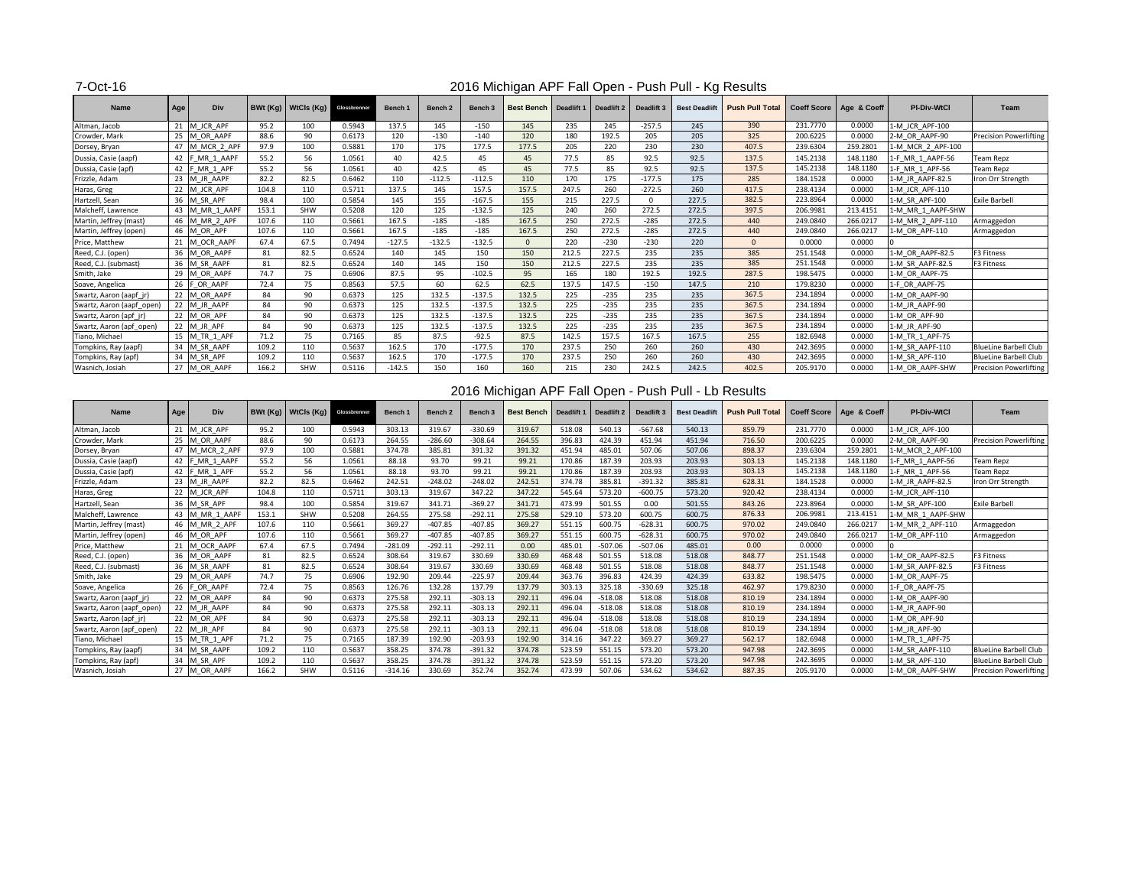### 7-Oct-16

| <b>Name</b>               | Age | <b>Div</b>     |       | $B Wt (Kg)$ WtCls $(Kg)$ | Glossbrenner | <b>Bench 1</b> | Bench <sub>2</sub> | <b>Bench 3</b> | <b>Best Bench</b> | Deadlift 1 | <b>Deadlift 2</b> | Deadlift 3     | <b>Best Deadlift</b> | <b>Push Pull Total</b> |          | Coeff Score   Age & Coeff | <b>PI-Div-WtCl</b> | Team                          |
|---------------------------|-----|----------------|-------|--------------------------|--------------|----------------|--------------------|----------------|-------------------|------------|-------------------|----------------|----------------------|------------------------|----------|---------------------------|--------------------|-------------------------------|
| Altman, Jacob             | 21  | M JCR APF      | 95.2  | 100                      | 0.5943       | 137.5          | 145                | $-150$         | 145               | 235        | 245               | $-257.5$       | 245                  | 390                    | 231.7770 | 0.0000                    | 1-M JCR APF-100    |                               |
| Crowder, Mark             |     | 25 M OR AAPF   | 88.6  | 90                       | 0.6173       | 120            | $-130$             | $-140$         | 120               | 180        | 192.5             | 205            | 205                  | 325                    | 200.6225 | 0.0000                    | 2-M OR AAPF-90     | <b>Precision Powerlifting</b> |
| Dorsey, Bryan             | 47  | M_MCR_2_APF    | 97.9  | 100                      | 0.5881       | 170            | 175                | 177.5          | 177.5             | 205        | 220               | 230            | 230                  | 407.5                  | 239.6304 | 259.2801                  | 1-M_MCR_2_APF-100  |                               |
| Dussia, Casie (aapf)      |     | 42 F MR 1 AAPF | 55.2  | 56                       | 1.0561       | 40             | 42.5               | 45             | 45                | 77.5       | 85                | 92.5           | 92.5                 | 137.5                  | 145.2138 | 148.1180                  | 1-F MR 1 AAPF-56   | <b>Team Repz</b>              |
| Dussia, Casie (apf)       |     | 42 F MR 1 APF  | 55.2  | 56                       | 1.0561       | 40             | 42.5               | 45             | 45                | 77.5       | 85                | 92.5           | 92.5                 | 137.5                  | 145.2138 | 148.1180                  | 1-F MR 1 APF-56    | <b>Team Repz</b>              |
| Frizzle, Adam             |     | 23 M JR AAPF   | 82.2  | 82.5                     | 0.6462       | 110            | $-112.5$           | $-112.5$       | 110               | 170        | 175               | $-177.5$       | 175                  | 285                    | 184.1528 | 0.0000                    | 1-M JR AAPF-82.5   | Iron Orr Strength             |
| Haras, Greg               |     | M JCR APF      | 104.8 | 110                      | 0.5711       | 137.5          | 145                | 157.5          | 157.5             | 247.5      | 260               | $-272.5$       | 260                  | 417.5                  | 238.4134 | 0.0000                    | 1-M_JCR_APF-110    |                               |
| Hartzell, Sean            |     | 36 M SR APF    | 98.4  | 100                      | 0.5854       | 145            | 155                | $-167.5$       | 155               | 215        | 227.5             | $\overline{0}$ | 227.5                | 382.5                  | 223.8964 | 0.0000                    | 1-M SR APF-100     | <b>Exile Barbell</b>          |
| Malcheff, Lawrence        |     | 43 M MR 1 AAPF | 153.1 | SHW                      | 0.5208       | 120            | 125                | $-132.5$       | 125               | 240        | 260               | 272.5          | 272.5                | 397.5                  | 206.9981 | 213.4151                  | 1-M MR 1 AAPF-SHW  |                               |
| Martin, Jeffrey (mast)    |     | 46 M MR 2 APF  | 107.6 | 110                      | 0.5661       | 167.5          | $-185$             | $-185$         | 167.5             | 250        | 272.5             | $-285$         | 272.5                | 440                    | 249.0840 | 266.0217                  | 1-M MR 2 APF-110   | Armaggedon                    |
| Martin, Jeffrey (open)    |     | 46 M OR APF    | 107.6 | 110                      | 0.5661       | 167.5          | $-185$             | $-185$         | 167.5             | 250        | 272.5             | $-285$         | 272.5                | 440                    | 249.0840 | 266.0217                  | 1-M OR APF-110     | Armaggedon                    |
| Price, Matthew            |     | M OCR AAPF     | 67.4  | 67.5                     | 0.7494       | $-127.5$       | $-132.5$           | $-132.5$       | $\Omega$          | 220        | $-230$            | $-230$         | 220                  | $\overline{0}$         | 0.0000   | 0.0000                    |                    |                               |
| Reed, C.J. (open)         |     | 36 M OR AAPF   | 81    | 82.5                     | 0.6524       | 140            | 145                | 150            | 150               | 212.5      | 227.5             | 235            | 235                  | 385                    | 251.1548 | 0.0000                    | 1-M OR AAPF-82.5   | <b>F3 Fitness</b>             |
| Reed, C.J. (submast)      |     | 36 M SR AAPF   | 81    | 82.5                     | 0.6524       | 140            | 145                | 150            | 150               | 212.5      | 227.5             | 235            | 235                  | 385                    | 251.1548 | 0.0000                    | 1-M SR AAPF-82.5   | <b>F3 Fitness</b>             |
| Smith, Jake               | 29  | M OR AAPF      | 74.7  | 75                       | 0.6906       | 87.5           | 95                 | $-102.5$       | 95                | 165        | 180               | 192.5          | 192.5                | 287.5                  | 198.5475 | 0.0000                    | 1-M OR AAPF-75     |                               |
| Soave, Angelica           |     | OR AAPF        | 72.4  | 75                       | 0.8563       | 57.5           | 60                 | 62.5           | 62.5              | 137.5      | 147.5             | $-150$         | 147.5                | 210                    | 179.8230 | 0.0000                    | 1-F OR AAPF-75     |                               |
| Swartz, Aaron (aapf_jr)   |     | 22 M OR AAPF   | 84    | 90                       | 0.6373       | 125            | 132.5              | $-137.5$       | 132.5             | 225        | $-235$            | 235            | 235                  | 367.5                  | 234.1894 | 0.0000                    | 1-M OR AAPF-90     |                               |
| Swartz, Aaron (aapf_open) |     | 22 M JR AAPF   | 84    | 90                       | 0.6373       | 125            | 132.5              | $-137.5$       | 132.5             | 225        | $-235$            | 235            | 235                  | 367.5                  | 234.1894 | 0.0000                    | 1-M JR AAPF-90     |                               |
| Swartz, Aaron (apf_jr)    |     | 22 M OR APF    | 84    | 90                       | 0.6373       | 125            | 132.5              | $-137.5$       | 132.5             | 225        | $-235$            | 235            | 235                  | 367.5                  | 234.1894 | 0.0000                    | 1-M OR APF-90      |                               |
| Swartz, Aaron (apf_open)  |     | 22 $M$ JR APF  | 84    | 90                       | 0.6373       | 125            | 132.5              | $-137.5$       | 132.5             | 225        | $-235$            | 235            | 235                  | 367.5                  | 234.1894 | 0.0000                    | 1-M JR APF-90      |                               |
| Tiano, Michael            |     | 15 M TR 1 APF  | 71.2  | 75                       | 0.7165       | 85             | 87.5               | $-92.5$        | 87.5              | 142.5      | 157.5             | 167.5          | 167.5                | 255                    | 182.6948 | 0.0000                    | 1-M TR 1 APF-75    |                               |
| Tompkins, Ray (aapf)      | 34  | M SR AAPF      | 109.2 | 110                      | 0.5637       | 162.5          | 170                | $-177.5$       | 170               | 237.5      | 250               | 260            | 260                  | 430                    | 242.3695 | 0.0000                    | 1-M SR AAPF-110    | <b>BlueLine Barbell Club</b>  |
| Tompkins, Ray (apf)       |     | 34 M SR APF    | 109.2 | 110                      | 0.5637       | 162.5          | 170                | $-177.5$       | 170               | 237.5      | 250               | 260            | 260                  | 430                    | 242.3695 | 0.0000                    | 1-M SR APF-110     | <b>BlueLine Barbell Club</b>  |
| Wasnich, Josiah           |     | 27 M OR AAPF   | 166.2 | SHW                      | 0.5116       | $-142.5$       | 150                | 160            | 160               | 215        | 230               | 242.5          | 242.5                | 402.5                  | 205.9170 | 0.0000                    | 1-M OR AAPF-SHW    | <b>Precision Powerlifting</b> |

| <b>Name</b>               | Age | <b>Div</b>          |       | BWt $(Kg)$ WtCls $(Kg)$ | Glossbrenner | <b>Bench 1</b> | <b>Bench 2</b> | Bench <sub>3</sub> | <b>Best Bench</b> | Deadlift 1 | Deadlift 2 | Deadlift 3 | <b>Best Deadlift</b> | <b>Push Pull Total</b> |          | Coeff Score   Age & Coeff | <b>PI-Div-WtCl</b> | <b>Team</b>                   |
|---------------------------|-----|---------------------|-------|-------------------------|--------------|----------------|----------------|--------------------|-------------------|------------|------------|------------|----------------------|------------------------|----------|---------------------------|--------------------|-------------------------------|
| Altman, Jacob             |     | 21 M JCR APF        | 95.2  | 100                     | 0.5943       | 303.13         | 319.67         | $-330.69$          | 319.67            | 518.08     | 540.13     | $-567.68$  | 540.13               | 859.79                 | 231.7770 | 0.0000                    | 1-M JCR APF-100    |                               |
| Crowder, Mark             |     | OR AAPF             | 88.6  | 90                      | 0.6173       | 264.55         | $-286.60$      | $-308.64$          | 264.55            | 396.83     | 424.39     | 451.94     | 451.94               | 716.50                 | 200.6225 | 0.0000                    | 2-M_OR_AAPF-90     | <b>Precision Powerlifting</b> |
| Dorsey, Bryan             |     | M MCR 2 APF         | 97.9  | 100                     | 0.5881       | 374.78         | 385.81         | 391.32             | 391.32            | 451.94     | 485.01     | 507.06     | 507.06               | 898.37                 | 239.6304 | 259.2801                  | 1-M MCR 2 APF-100  |                               |
| Dussia, Casie (aapf)      | 42  | MR 1 AAPF           | 55.2  | 56                      | 1.0561       | 88.18          | 93.70          | 99.21              | 99.21             | 170.86     | 187.39     | 203.93     | 203.93               | 303.13                 | 145.2138 | 148.1180                  | 1-F MR 1 AAPF-56   | <b>Team Repz</b>              |
| Dussia, Casie (apf)       |     | MR 1 APF            | 55.2  | 56                      | 1.0561       | 88.18          | 93.70          | 99.21              | 99.21             | 170.86     | 187.39     | 203.93     | 203.93               | 303.13                 | 145.2138 | 148.1180                  | 1-F_MR_1_APF-56    | <b>Team Repz</b>              |
| Frizzle, Adam             | 23  | M JR AAPF           | 82.2  | 82.5                    | 0.6462       | 242.51         | $-248.02$      | $-248.02$          | 242.51            | 374.78     | 385.81     | $-391.32$  | 385.81               | 628.31                 | 184.1528 | 0.0000                    | 1-M JR AAPF-82.5   | Iron Orr Strength             |
| Haras, Greg               | 22  | M_JCR_APF           | 104.8 | 110                     | 0.5711       | 303.13         | 319.67         | 347.22             | 347.22            | 545.64     | 573.20     | $-600.75$  | 573.20               | 920.42                 | 238.4134 | 0.0000                    | 1-M JCR APF-110    |                               |
| Hartzell, Sean            | 36  | M SR APF            | 98.4  | 100                     | 0.5854       | 319.67         | 341.71         | $-369.27$          | 341.71            | 473.99     | 501.55     | 0.00       | 501.55               | 843.26                 | 223.8964 | 0.0000                    | 1-M SR APF-100     | <b>Exile Barbell</b>          |
| Malcheff, Lawrence        | 43  | M MR 1 AAPF         | 153.1 | SHW                     | 0.5208       | 264.55         | 275.58         | $-292.11$          | 275.58            | 529.10     | 573.20     | 600.75     | 600.75               | 876.33                 | 206.9981 | 213.4151                  | 1-M MR 1 AAPF-SHW  |                               |
| Martin, Jeffrey (mast)    | 46  | MR <sub>2</sub> APF | 107.6 | 110                     | 0.5661       | 369.27         | $-407.85$      | $-407.85$          | 369.27            | 551.15     | 600.75     | $-628.31$  | 600.75               | 970.02                 | 249.0840 | 266.0217                  | 1-M_MR_2_APF-110   | Armaggedon                    |
| Martin, Jeffrey (open)    | 46  | M OR APF            | 107.6 | 110                     | 0.5661       | 369.27         | $-407.85$      | $-407.85$          | 369.27            | 551.15     | 600.75     | $-628.31$  | 600.75               | 970.02                 | 249.0840 | 266.0217                  | 1-M_OR_APF-110     | Armaggedon                    |
| Price, Matthew            |     | M OCR AAPF          | 67.4  | 67.5                    | 0.7494       | $-281.09$      | $-292.11$      | $-292.11$          | 0.00              | 485.01     | $-507.06$  | $-507.06$  | 485.01               | 0.00                   | 0.0000   | 0.0000                    |                    |                               |
| Reed, C.J. (open)         | 36  | M OR AAPF           | 81    | 82.5                    | 0.6524       | 308.64         | 319.67         | 330.69             | 330.69            | 468.48     | 501.55     | 518.08     | 518.08               | 848.77                 | 251.1548 | 0.0000                    | 1-M OR AAPF-82.5   | F3 Fitness                    |
| Reed, C.J. (submast)      | 36  | M_SR_AAPF           | 81    | 82.5                    | 0.6524       | 308.64         | 319.67         | 330.69             | 330.69            | 468.48     | 501.55     | 518.08     | 518.08               | 848.77                 | 251.1548 | 0.0000                    | 1-M SR AAPF-82.5   | F3 Fitness                    |
| Smith, Jake               | 29  | OR AAPF             | 74.7  | 75                      | 0.6906       | 192.90         | 209.44         | $-225.97$          | 209.44            | 363.76     | 396.83     | 424.39     | 424.39               | 633.82                 | 198.5475 | 0.0000                    | 1-M_OR_AAPF-75     |                               |
| Soave, Angelica           |     | OR AAPF             | 72.4  | 75                      | 0.8563       | 126.76         | 132.28         | 137.79             | 137.79            | 303.13     | 325.18     | $-330.69$  | 325.18               | 462.97                 | 179.8230 | 0.0000                    | 1-F_OR_AAPF-75     |                               |
| Swartz, Aaron (aapf_jr)   | 22  | M OR AAPF           | 84    | 90                      | 0.6373       | 275.58         | 292.11         | $-303.13$          | 292.11            | 496.04     | $-518.08$  | 518.08     | 518.08               | 810.19                 | 234.1894 | 0.0000                    | 1-M_OR_AAPF-90     |                               |
| Swartz, Aaron (aapf_open) | 22  | M JR AAPF           | 84    | 90                      | 0.6373       | 275.58         | 292.11         | $-303.13$          | 292.11            | 496.04     | $-518.08$  | 518.08     | 518.08               | 810.19                 | 234.1894 | 0.0000                    | 1-M JR AAPF-90     |                               |
| Swartz, Aaron (apf_jr)    |     | 22 M OR APF         | 84    | 90                      | 0.6373       | 275.58         | 292.11         | $-303.13$          | 292.11            | 496.04     | $-518.08$  | 518.08     | 518.08               | 810.19                 | 234.1894 | 0.0000                    | 1-M OR APF-90      |                               |
| Swartz, Aaron (apf_open)  |     | 22 M JR APF         | 84    | 90                      | 0.6373       | 275.58         | 292.11         | $-303.13$          | 292.11            | 496.04     | $-518.08$  | 518.08     | 518.08               | 810.19                 | 234.1894 | 0.0000                    | 1-M JR APF-90      |                               |
| Tiano, Michael            | 15  | M TR 1 APF          | 71.2  | 75                      | 0.7165       | 187.39         | 192.90         | $-203.93$          | 192.90            | 314.16     | 347.22     | 369.27     | 369.27               | 562.17                 | 182.6948 | 0.0000                    | 1-M TR 1 APF-75    |                               |
| Tompkins, Ray (aapf)      | 34  | <b>M_SR_AAPF</b>    | 109.2 | 110                     | 0.5637       | 358.25         | 374.78         | $-391.32$          | 374.78            | 523.59     | 551.15     | 573.20     | 573.20               | 947.98                 | 242.3695 | 0.0000                    | 1-M_SR_AAPF-110    | <b>BlueLine Barbell Club</b>  |
| Tompkins, Ray (apf)       | 34  | <b>M SR APF</b>     | 109.2 | 110                     | 0.5637       | 358.25         | 374.78         | $-391.32$          | 374.78            | 523.59     | 551.15     | 573.20     | 573.20               | 947.98                 | 242.3695 | 0.0000                    | 1-M SR APF-110     | <b>BlueLine Barbell Club</b>  |
| Wasnich, Josiah           |     | 27 M OR AAPF        | 166.2 | <b>SHW</b>              | 0.5116       | $-314.16$      | 330.69         | 352.74             | 352.74            | 473.99     | 507.06     | 534.62     | 534.62               | 887.35                 | 205.9170 | 0.0000                    | 1-M OR AAPF-SHW    | <b>Precision Powerlifting</b> |

#### 2016 Michigan APF Fall Open - Push Pull - Kg Results

# 2016 Michigan APF Fall Open - Push Pull - Lb Results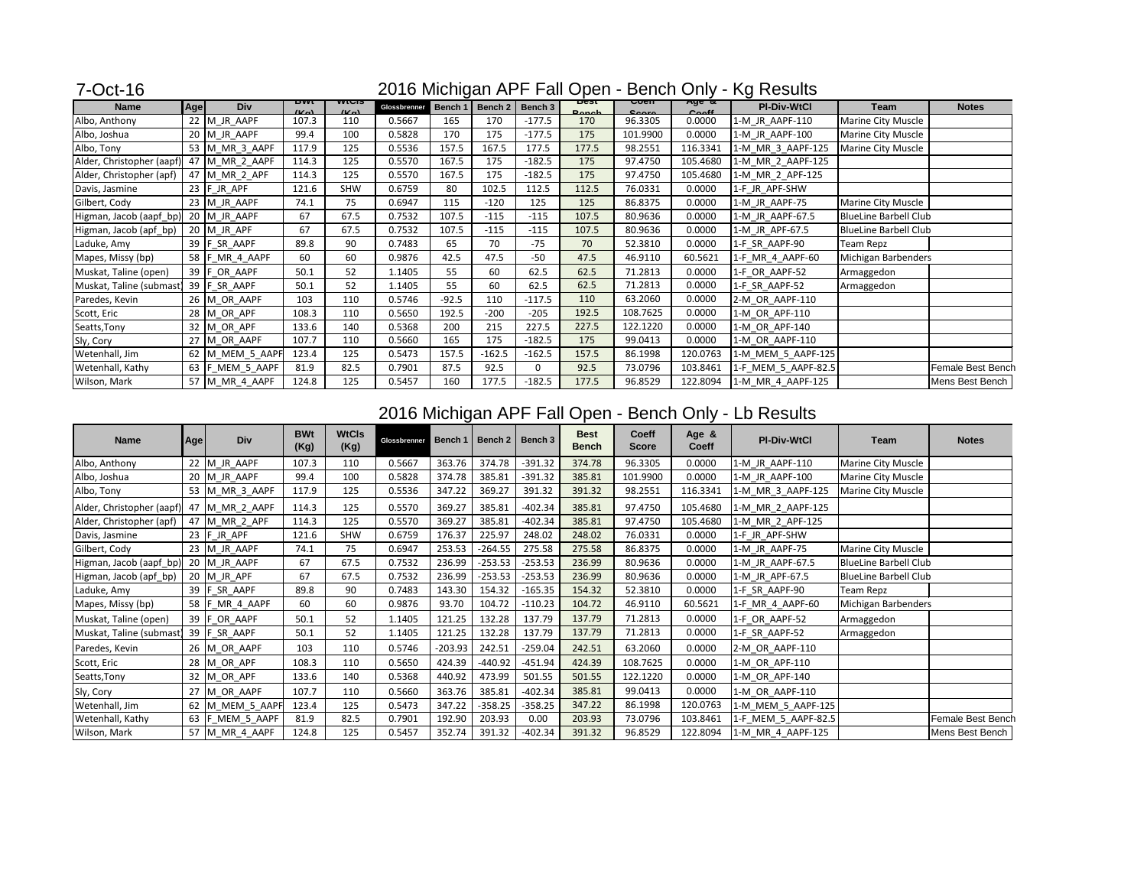| 7-Oct-16                                 | 2016 Michigan APF Fall Open - Bench Only - Kg Results |                 |                     |                     |              |         |                   |          |                      |                                                  |                                |                     |                              |                   |
|------------------------------------------|-------------------------------------------------------|-----------------|---------------------|---------------------|--------------|---------|-------------------|----------|----------------------|--------------------------------------------------|--------------------------------|---------------------|------------------------------|-------------------|
| <b>Name</b>                              | Age                                                   | <b>Div</b>      | DWL<br>$U_{\alpha}$ | www<br>$U_{\alpha}$ | Glossbrenner |         | Bench 1   Bench 2 | Bench 3  | best<br><b>Donoh</b> | $\overline{\mathtt{U}^{\mathtt{OCH}}\mathtt{I}}$ | Aye a<br>$C_{\alpha\alpha}$ ff | <b>PI-Div-WtCl</b>  | <b>Team</b>                  | <b>Notes</b>      |
| Albo, Anthony                            |                                                       | 22 M JR AAPF    | 107.3               | 110                 | 0.5667       | 165     | 170               | $-177.5$ | 170                  | 96.3305                                          | 0.0000                         | 1-M JR AAPF-110     | Marine City Muscle           |                   |
| Albo, Joshua                             |                                                       | 20 M JR AAPF    | 99.4                | 100                 | 0.5828       | 170     | 175               | $-177.5$ | 175                  | 101.9900                                         | 0.0000                         | 1-M JR AAPF-100     | Marine City Muscle           |                   |
| Albo, Tony                               |                                                       | 53 M MR 3 AAPF  | 117.9               | 125                 | 0.5536       | 157.5   | 167.5             | 177.5    | 177.5                | 98.2551                                          | 116.3341                       | 1-M MR 3 AAPF-125   | Marine City Muscle           |                   |
| Alder, Christopher (aapf) 47 M_MR_2_AAPF |                                                       |                 | 114.3               | 125                 | 0.5570       | 167.5   | 175               | $-182.5$ | 175                  | 97.4750                                          | 105.4680                       | 1-M_MR_2_AAPF-125   |                              |                   |
| Alder, Christopher (apf)                 |                                                       | 47 M_MR_2_APF   | 114.3               | 125                 | 0.5570       | 167.5   | 175               | $-182.5$ | 175                  | 97.4750                                          | 105.4680                       | 1-M_MR_2_APF-125    |                              |                   |
| Davis, Jasmine                           |                                                       | 23 $F$ JR APF   | 121.6               | <b>SHW</b>          | 0.6759       | 80      | 102.5             | 112.5    | 112.5                | 76.0331                                          | 0.0000                         | 1-F JR APF-SHW      |                              |                   |
| Gilbert, Cody                            |                                                       | 23 M_JR_AAPF    | 74.1                | 75                  | 0.6947       | 115     | $-120$            | 125      | 125                  | 86.8375                                          | 0.0000                         | 1-M JR AAPF-75      | Marine City Muscle           |                   |
| Higman, Jacob (aapf_bp)                  |                                                       | 20 M_JR_AAPF    | 67                  | 67.5                | 0.7532       | 107.5   | $-115$            | $-115$   | 107.5                | 80.9636                                          | 0.0000                         | 1-M_JR_AAPF-67.5    | <b>BlueLine Barbell Club</b> |                   |
| Higman, Jacob (apf_bp)                   |                                                       | 20 M JR APF     | 67                  | 67.5                | 0.7532       | 107.5   | $-115$            | $-115$   | 107.5                | 80.9636                                          | 0.0000                         | 1-M JR APF-67.5     | <b>BlueLine Barbell Club</b> |                   |
| Laduke, Amy                              |                                                       | 39 F_SR_AAPF    | 89.8                | 90                  | 0.7483       | 65      | 70                | $-75$    | 70                   | 52.3810                                          | 0.0000                         | 1-F SR AAPF-90      | Team Repz                    |                   |
| Mapes, Missy (bp)                        |                                                       | 58 F_MR_4_AAPF  | 60                  | 60                  | 0.9876       | 42.5    | 47.5              | $-50$    | 47.5                 | 46.9110                                          | 60.5621                        | 1-F_MR_4_AAPF-60    | Michigan Barbenders          |                   |
| Muskat, Taline (open)                    |                                                       | 39 $F$ OR AAPF  | 50.1                | 52                  | 1.1405       | 55      | 60                | 62.5     | 62.5                 | 71.2813                                          | 0.0000                         | 1-F OR AAPF-52      | Armaggedon                   |                   |
| Muskat, Taline (submast)                 |                                                       | 39 F_SR_AAPF    | 50.1                | 52                  | 1.1405       | 55      | 60                | 62.5     | 62.5                 | 71.2813                                          | 0.0000                         | 1-F SR AAPF-52      | Armaggedon                   |                   |
| Paredes, Kevin                           |                                                       | 26 M OR AAPF    | 103                 | 110                 | 0.5746       | $-92.5$ | 110               | $-117.5$ | 110                  | 63.2060                                          | 0.0000                         | 2-M OR AAPF-110     |                              |                   |
| Scott, Eric                              |                                                       | 28 M_OR_APF     | 108.3               | 110                 | 0.5650       | 192.5   | $-200$            | $-205$   | 192.5                | 108.7625                                         | 0.0000                         | 1-M_OR_APF-110      |                              |                   |
| Seatts, Tony                             |                                                       | 32 M_OR_APF     | 133.6               | 140                 | 0.5368       | 200     | 215               | 227.5    | 227.5                | 122.1220                                         | 0.0000                         | 1-M OR APF-140      |                              |                   |
| Sly, Cory                                |                                                       | 27 M OR AAPF    | 107.7               | 110                 | 0.5660       | 165     | 175               | $-182.5$ | 175                  | 99.0413                                          | 0.0000                         | 1-M OR AAPF-110     |                              |                   |
| Wetenhall, Jim                           |                                                       | 62 M_MEM_5_AAPF | 123.4               | 125                 | 0.5473       | 157.5   | $-162.5$          | $-162.5$ | 157.5                | 86.1998                                          | 120.0763                       | 1-M_MEM_5_AAPF-125  |                              |                   |
| Wetenhall, Kathy                         |                                                       | 63 F_MEM_5_AAPF | 81.9                | 82.5                | 0.7901       | 87.5    | 92.5              | 0        | 92.5                 | 73.0796                                          | 103.8461                       | 1-F_MEM_5_AAPF-82.5 |                              | Female Best Bench |
| Wilson, Mark                             |                                                       | 57 M MR 4 AAPF  | 124.8               | 125                 | 0.5457       | 160     | 177.5             | $-182.5$ | 177.5                | 96.8529                                          | 122.8094                       | 1-M MR 4 AAPF-125   |                              | Mens Best Bench   |

| <b>Name</b>               | Age | <b>Div</b>      | <b>BWt</b><br>(Kg) | <b>WtCls</b><br>(Kg) | Glossbrenner | Bench 1   |           | Bench $2 \mid$ Bench 3 | <b>Best</b><br><b>Bench</b> | <b>Coeff</b><br><b>Score</b> | Age &<br><b>Coeff</b> | <b>PI-Div-WtCl</b>  | <b>Team</b>                  | <b>Notes</b>      |
|---------------------------|-----|-----------------|--------------------|----------------------|--------------|-----------|-----------|------------------------|-----------------------------|------------------------------|-----------------------|---------------------|------------------------------|-------------------|
| Albo, Anthony             |     | 22 M JR AAPF    | 107.3              | 110                  | 0.5667       | 363.76    | 374.78    | $-391.32$              | 374.78                      | 96.3305                      | 0.0000                | 1-M JR AAPF-110     | Marine City Muscle           |                   |
| Albo, Joshua              |     | 20 M_JR_AAPF    | 99.4               | 100                  | 0.5828       | 374.78    | 385.81    | $-391.32$              | 385.81                      | 101.9900                     | 0.0000                | 1-M_JR_AAPF-100     | Marine City Muscle           |                   |
| Albo, Tony                |     | 53 M_MR_3_AAPF  | 117.9              | 125                  | 0.5536       | 347.22    | 369.27    | 391.32                 | 391.32                      | 98.2551                      | 116.3341              | 1-M_MR_3_AAPF-125   | Marine City Muscle           |                   |
| Alder, Christopher (aapf) |     | 47 M MR 2 AAPF  | 114.3              | 125                  | 0.5570       | 369.27    | 385.81    | $-402.34$              | 385.81                      | 97.4750                      | 105.4680              | 1-M_MR_2_AAPF-125   |                              |                   |
| Alder, Christopher (apf)  |     | 47 M_MR_2_APF   | 114.3              | 125                  | 0.5570       | 369.27    | 385.81    | $-402.34$              | 385.81                      | 97.4750                      | 105.4680              | 1-M_MR_2_APF-125    |                              |                   |
| Davis, Jasmine            |     | 23 $F$ JR APF   | 121.6              | <b>SHW</b>           | 0.6759       | 176.37    | 225.97    | 248.02                 | 248.02                      | 76.0331                      | 0.0000                | 1-F JR APF-SHW      |                              |                   |
| Gilbert, Cody             |     | 23 M_JR_AAPF    | 74.1               | 75                   | 0.6947       | 253.53    | -264.55   | 275.58                 | 275.58                      | 86.8375                      | 0.0000                | 1-M JR AAPF-75      | Marine City Muscle           |                   |
| Higman, Jacob (aapf_bp)   |     | 20 M_JR_AAPF    | 67                 | 67.5                 | 0.7532       | 236.99    | $-253.53$ | $-253.53$              | 236.99                      | 80.9636                      | 0.0000                | 1-M JR AAPF-67.5    | <b>BlueLine Barbell Club</b> |                   |
| Higman, Jacob (apf_bp)    |     | 20 M_JR_APF     | 67                 | 67.5                 | 0.7532       | 236.99    | $-253.53$ | $-253.53$              | 236.99                      | 80.9636                      | 0.0000                | 1-M JR APF-67.5     | <b>BlueLine Barbell Club</b> |                   |
| Laduke, Amy               |     | 39 F_SR_AAPF    | 89.8               | 90                   | 0.7483       | 143.30    | 154.32    | $-165.35$              | 154.32                      | 52.3810                      | 0.0000                | 1-F SR AAPF-90      | <b>Team Repz</b>             |                   |
| Mapes, Missy (bp)         |     | 58 F_MR_4_AAPF  | 60                 | 60                   | 0.9876       | 93.70     | 104.72    | $-110.23$              | 104.72                      | 46.9110                      | 60.5621               | 1-F MR 4 AAPF-60    | Michigan Barbenders          |                   |
| Muskat, Taline (open)     |     | 39 F_OR_AAPF    | 50.1               | 52                   | 1.1405       | 121.25    | 132.28    | 137.79                 | 137.79                      | 71.2813                      | 0.0000                | 1-F OR AAPF-52      | Armaggedon                   |                   |
| Muskat, Taline (submast)  |     | 39 F SR AAPF    | 50.1               | 52                   | 1.1405       | 121.25    | 132.28    | 137.79                 | 137.79                      | 71.2813                      | 0.0000                | 1-F SR AAPF-52      | Armaggedon                   |                   |
| Paredes, Kevin            |     | 26 M_OR_AAPF    | 103                | 110                  | 0.5746       | $-203.93$ | 242.51    | $-259.04$              | 242.51                      | 63.2060                      | 0.0000                | 2-M OR AAPF-110     |                              |                   |
| Scott, Eric               |     | 28 M_OR_APF     | 108.3              | 110                  | 0.5650       | 424.39    | $-440.92$ | $-451.94$              | 424.39                      | 108.7625                     | 0.0000                | 1-M OR APF-110      |                              |                   |
| Seatts, Tony              |     | 32 M_OR_APF     | 133.6              | 140                  | 0.5368       | 440.92    | 473.99    | 501.55                 | 501.55                      | 122.1220                     | 0.0000                | 1-M_OR_APF-140      |                              |                   |
| Sly, Cory                 |     | 27 M OR AAPF    | 107.7              | 110                  | 0.5660       | 363.76    | 385.81    | $-402.34$              | 385.81                      | 99.0413                      | 0.0000                | 1-M OR AAPF-110     |                              |                   |
| Wetenhall, Jim            |     | 62 M_MEM_5_AAPF | 123.4              | 125                  | 0.5473       | 347.22    | $-358.25$ | $-358.25$              | 347.22                      | 86.1998                      | 120.0763              | 1-M MEM 5 AAPF-125  |                              |                   |
| Wetenhall, Kathy          |     | 63 F_MEM_5_AAPF | 81.9               | 82.5                 | 0.7901       | 192.90    | 203.93    | 0.00                   | 203.93                      | 73.0796                      | 103.8461              | 1-F_MEM_5_AAPF-82.5 |                              | Female Best Bench |
| Wilson, Mark              |     | 57 M_MR_4_AAPF  | 124.8              | 125                  | 0.5457       | 352.74    | 391.32    | $-402.34$              | 391.32                      | 96.8529                      | 122.8094              | 1-M_MR_4_AAPF-125   |                              | Mens Best Bench   |

## 2016 Michigan APF Fall Open - Bench Only - Lb Results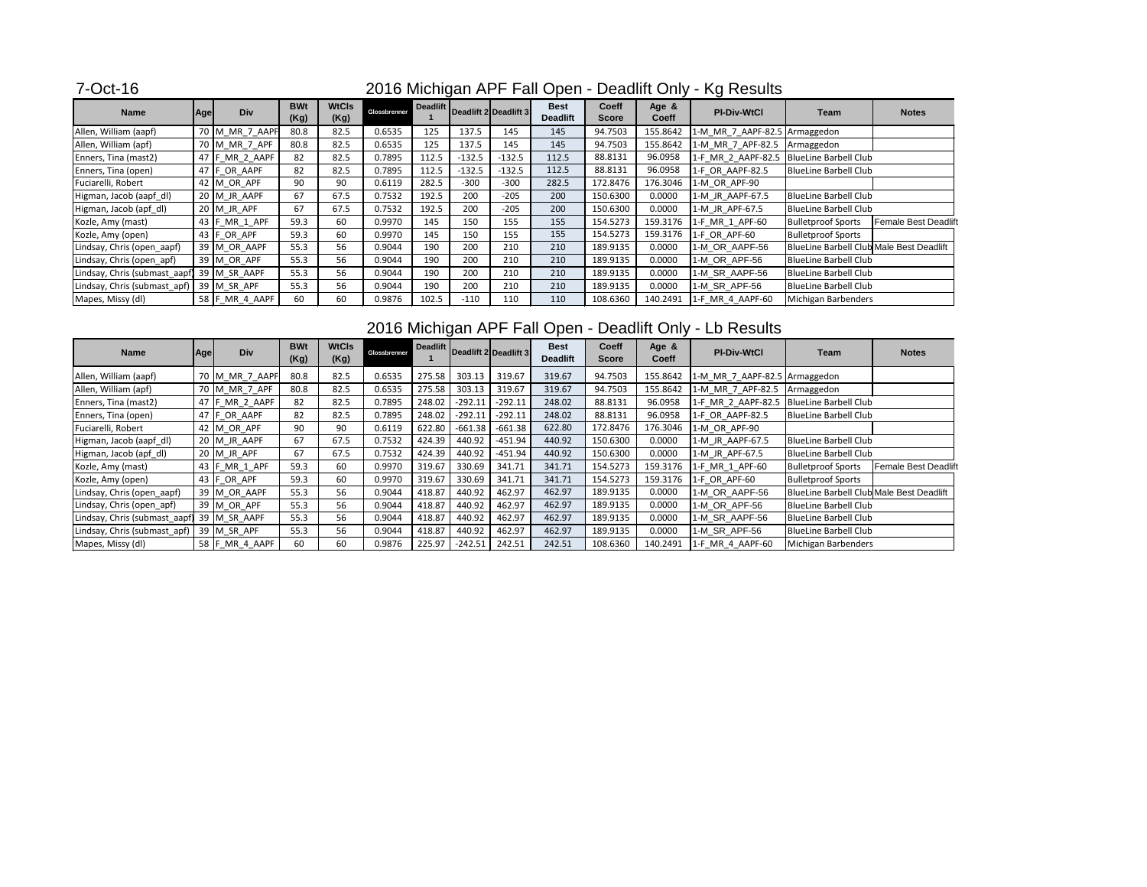## 7-Oct-16

| <b>Name</b>                   | <b>Agel</b> | <b>Div</b>     | <b>BWt</b><br>(Kg) | <b>WtCls</b><br>(Kg) | Glossbrenner | Deadlift |          | Deadlift 2 Deadlift 3 | <b>Best</b><br><b>Deadlift</b> | <b>Coeff</b><br><b>Score</b> | Age &<br><b>Coeff</b> | <b>PI-Div-WtCl</b>            | <b>Team</b>                                     | <b>Notes</b>                |
|-------------------------------|-------------|----------------|--------------------|----------------------|--------------|----------|----------|-----------------------|--------------------------------|------------------------------|-----------------------|-------------------------------|-------------------------------------------------|-----------------------------|
| Allen, William (aapf)         |             | 70 M MR 7 AAPF | 80.8               | 82.5                 | 0.6535       | 125      | 137.5    | 145                   | 145                            | 94.7503                      | 155.8642              | 1-M MR 7 AAPF-82.5 Armaggedon |                                                 |                             |
| Allen, William (apf)          |             | 70 M_MR_7_APF  | 80.8               | 82.5                 | 0.6535       | 125      | 137.5    | 145                   | 145                            | 94.7503                      | 155.8642              | 1-M MR 7 APF-82.5             | Armaggedon                                      |                             |
| Enners, Tina (mast2)          |             | 47 F_MR_2_AAPF | 82                 | 82.5                 | 0.7895       | 112.5    | $-132.5$ | $-132.5$              | 112.5                          | 88.8131                      | 96.0958               | 1-F MR 2 AAPF-82.5            | <b>BlueLine Barbell Club</b>                    |                             |
| Enners, Tina (open)           |             | 47 F OR AAPF   | 82                 | 82.5                 | 0.7895       | 112.5    | $-132.5$ | $-132.5$              | 112.5                          | 88.8131                      | 96.0958               | 1-F OR AAPF-82.5              | <b>BlueLine Barbell Club</b>                    |                             |
| Fuciarelli, Robert            |             | 42 M OR APF    | 90                 | 90                   | 0.6119       | 282.5    | $-300$   | $-300$                | 282.5                          | 172.8476                     | 176.3046              | 1-M OR APF-90                 |                                                 |                             |
| Higman, Jacob (aapf_dl)       |             | 20 M JR AAPF   | 67                 | 67.5                 | 0.7532       | 192.5    | 200      | $-205$                | 200                            | 150.6300                     | 0.0000                | 1-M JR AAPF-67.5              | <b>BlueLine Barbell Club</b>                    |                             |
| Higman, Jacob (apf_dl)        |             | 20 M JR APF    | 67                 | 67.5                 | 0.7532       | 192.5    | 200      | $-205$                | 200                            | 150.6300                     | 0.0000                | 1-M JR APF-67.5               | <b>BlueLine Barbell Club</b>                    |                             |
| Kozle, Amy (mast)             |             | 43 F_MR_1_APF  | 59.3               | 60                   | 0.9970       | 145      | 150      | 155                   | 155                            | 154.5273                     | 159.3176              | 1-F_MR_1_APF-60               | <b>Bulletproof Sports</b>                       | <b>Female Best Deadlift</b> |
| Kozle, Amy (open)             |             | 43 $F$ OR APF  | 59.3               | 60                   | 0.9970       | 145      | 150      | 155                   | 155                            | 154.5273                     | 159.3176              | 1-F OR APF-60                 | <b>Bulletproof Sports</b>                       |                             |
| Lindsay, Chris (open_aapf)    |             | 39 M OR AAPF   | 55.3               | 56                   | 0.9044       | 190      | 200      | 210                   | 210                            | 189.9135                     | 0.0000                | 1-M OR AAPF-56                | <b>BlueLine Barbell Club Male Best Deadlift</b> |                             |
| Lindsay, Chris (open_apf)     |             | 39 M_OR_APF    | 55.3               | 56                   | 0.9044       | 190      | 200      | 210                   | 210                            | 189.9135                     | 0.0000                | 1-M_OR_APF-56                 | <b>BlueLine Barbell Club</b>                    |                             |
| Lindsay, Chris (submast_aapf) |             | 39 M SR AAPF   | 55.3               | 56                   | 0.9044       | 190      | 200      | 210                   | 210                            | 189.9135                     | 0.0000                | 1-M SR AAPF-56                | <b>BlueLine Barbell Club</b>                    |                             |
| Lindsay, Chris (submast_apf)  |             | 39 M SR APF    | 55.3               | 56                   | 0.9044       | 190      | 200      | 210                   | 210                            | 189.9135                     | 0.0000                | 1-M SR APF-56                 | <b>BlueLine Barbell Club</b>                    |                             |
| Mapes, Missy (dl)             |             | 58 F MR 4 AAPF | 60                 | 60                   | 0.9876       | 102.5    | $-110$   | 110                   | 110                            | 108.6360                     | 140.2491              | 1-F_MR_4_AAPF-60              | Michigan Barbenders                             |                             |

## 2016 Michigan APF Fall Open - Deadlift Only - Lb Results

| <b>Name</b>                   | Age | <b>Div</b>     | <b>BWt</b><br>(Kg) | <b>WtCls</b><br>(Kg) | Glossbrenner |        |           | Deadlift Deadlift 2 Deadlift 3 | <b>Best</b><br><b>Deadlift</b> | <b>Coeff</b><br><b>Score</b> | Age &<br><b>Coeff</b> | <b>PI-Div-WtCl</b>            | Team                                     | <b>Notes</b>                |
|-------------------------------|-----|----------------|--------------------|----------------------|--------------|--------|-----------|--------------------------------|--------------------------------|------------------------------|-----------------------|-------------------------------|------------------------------------------|-----------------------------|
| Allen, William (aapf)         |     | 70 M_MR_7_AAPF | 80.8               | 82.5                 | 0.6535       | 275.58 | 303.13    | 319.67                         | 319.67                         | 94.7503                      | 155.8642              | 1-M_MR_7_AAPF-82.5 Armaggedon |                                          |                             |
| Allen, William (apf)          |     | 70 M_MR_7_APF  | 80.8               | 82.5                 | 0.6535       | 275.58 | 303.13    | 319.67                         | 319.67                         | 94.7503                      | 155.8642              | 1-M MR 7 APF-82.5             | Armaggedon                               |                             |
| Enners, Tina (mast2)          |     | 47 F MR 2 AAPF | 82                 | 82.5                 | 0.7895       | 248.02 | $-292.11$ | $-292.11$                      | 248.02                         | 88.8131                      | 96.0958               | 1-F MR 2 AAPF-82.5            | BlueLine Barbell Club                    |                             |
| Enners, Tina (open)           |     | 47 FOR AAPF    | 82                 | 82.5                 | 0.7895       | 248.02 | $-292.11$ | $-292.11$                      | 248.02                         | 88.8131                      | 96.0958               | 1-F OR AAPF-82.5              | <b>BlueLine Barbell Club</b>             |                             |
| Fuciarelli, Robert            |     | 42 M_OR_APF    | 90                 | 90                   | 0.6119       | 622.80 | $-661.38$ | $-661.38$                      | 622.80                         | 172.8476                     | 176.3046              | 1-M OR APF-90                 |                                          |                             |
| Higman, Jacob (aapf_dl)       |     | 20 M JR AAPF   | 67                 | 67.5                 | 0.7532       | 424.39 | 440.92    | $-451.94$                      | 440.92                         | 150.6300                     | 0.0000                | 1-M JR AAPF-67.5              | <b>BlueLine Barbell Club</b>             |                             |
| Higman, Jacob (apf_dl)        |     | $20$ M JR APF  | 67                 | 67.5                 | 0.7532       | 424.39 | 440.92    | $-451.94$                      | 440.92                         | 150.6300                     | 0.0000                | 1-M JR APF-67.5               | <b>BlueLine Barbell Club</b>             |                             |
| Kozle, Amy (mast)             |     | 43 F MR 1 APF  | 59.3               | 60                   | 0.9970       | 319.67 | 330.69    | 341.71                         | 341.71                         | 154.5273                     | 159.3176              | 1-F MR 1 APF-60               | <b>Bulletproof Sports</b>                | <b>Female Best Deadlift</b> |
| Kozle, Amy (open)             |     | 43 $F$ OR APF  | 59.3               | 60                   | 0.9970       | 319.67 | 330.69    | 341.71                         | 341.71                         | 154.5273                     | 159.3176              | 1-F OR APF-60                 | <b>Bulletproof Sports</b>                |                             |
| Lindsay, Chris (open_aapf)    |     | 39 M_OR_AAPF   | 55.3               | 56                   | 0.9044       | 418.87 | 440.92    | 462.97                         | 462.97                         | 189.9135                     | 0.0000                | 1-M_OR_AAPF-56                | BlueLine Barbell Club Male Best Deadlift |                             |
| Lindsay, Chris (open_apf)     |     | 39 M OR APF    | 55.3               | 56                   | 0.9044       | 418.87 | 440.92    | 462.97                         | 462.97                         | 189.9135                     | 0.0000                | 1-M_OR_APF-56                 | <b>BlueLine Barbell Club</b>             |                             |
| Lindsay, Chris (submast_aapf) |     | 39 M SR AAPF   | 55.3               | 56                   | 0.9044       | 418.87 | 440.92    | 462.97                         | 462.97                         | 189.9135                     | 0.0000                | 1-M_SR_AAPF-56                | <b>BlueLine Barbell Club</b>             |                             |
| Lindsay, Chris (submast_apf)  |     | 39 M SR APF    | 55.3               | 56                   | 0.9044       | 418.87 | 440.92    | 462.97                         | 462.97                         | 189.9135                     | 0.0000                | 1-M SR APF-56                 | <b>BlueLine Barbell Club</b>             |                             |
| Mapes, Missy (dl)             |     | 58 F_MR_4_AAPF | 60                 | 60                   | 0.9876       | 225.97 | $-242.51$ | 242.51                         | 242.51                         | 108.6360                     | 140.2491              | 1-F MR 4 AAPF-60              | Michigan Barbenders                      |                             |

# 2016 Michigan APF Fall Open - Deadlift Only - Kg Results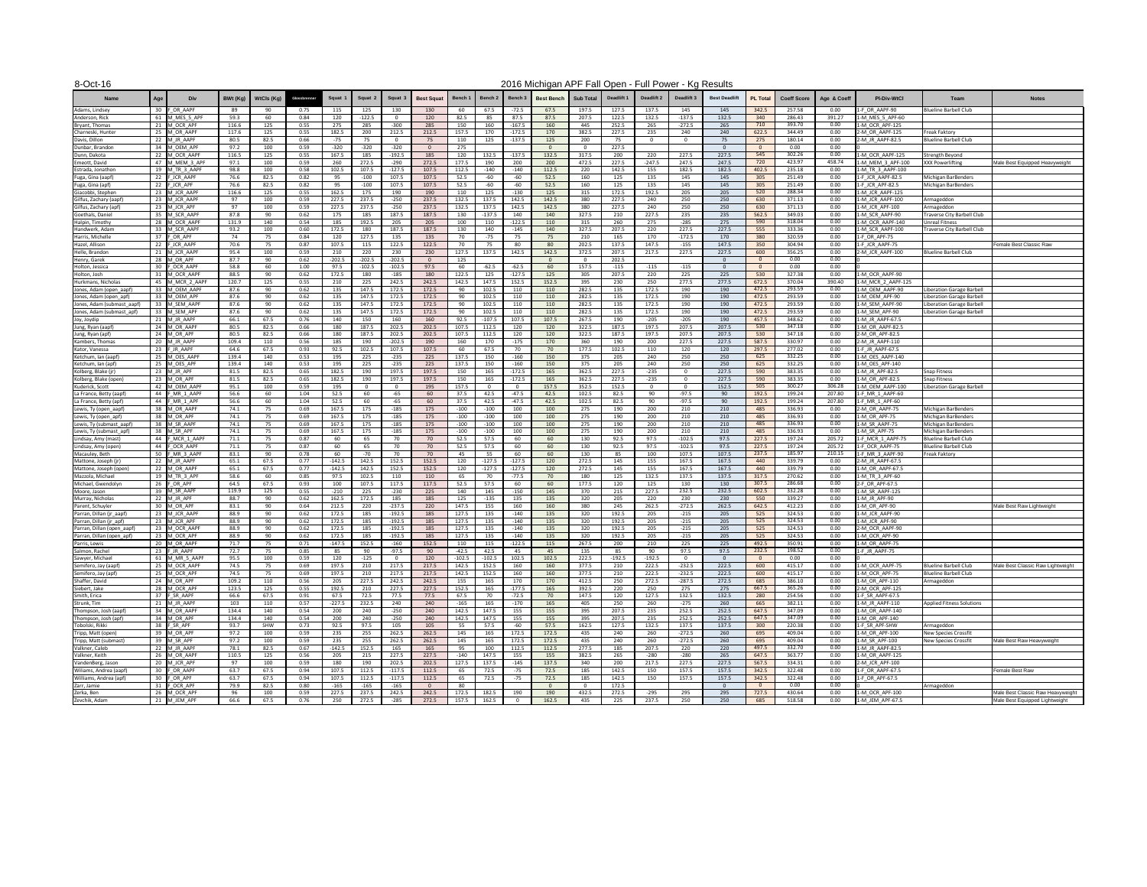#### 8-Oct-16

| <b>Name</b>                                         | <b>Div</b>                       | BWt (Kg)       | WtCls (Kg)   | Glossbrenner | <b>Squat</b>     | Squat           | Squat 3              | <b>Best Squat</b> | Bench '           | <b>Bench 2</b>    | <b>Bench 3</b>    | <b>Best Bench</b> | Sub Total      | Deadlift 1      | Deadlift 2        | Deadlift 3           | <b>Best Deadlift</b> | <b>PL Total</b>   | <b>Coeff Score</b> | Age & Coeff      | <b>PI-Div-WtCl</b>                    | Team                                                         | <b>Notes</b>                      |
|-----------------------------------------------------|----------------------------------|----------------|--------------|--------------|------------------|-----------------|----------------------|-------------------|-------------------|-------------------|-------------------|-------------------|----------------|-----------------|-------------------|----------------------|----------------------|-------------------|--------------------|------------------|---------------------------------------|--------------------------------------------------------------|-----------------------------------|
| Adams, Lindsey                                      | 30 F OR AAPF                     | -89            | -90          | 0.75         | 115              | 125             | 130                  | 130               | 60                | 67.5              | $-72.5$           | 67.5              | 197.5          | 127.5           | 137.5             | 145                  | 145                  | 342.5             | 257.58             | 0.00             | 1-F OR AAPF-90                        | <b>Blueline Barbell Club</b>                                 |                                   |
| Anderson, Rick<br>Bryant, Thomas                    | 61 M MES 5 APF<br>21 M OCR APF   | 59.3<br>116.6  | 60<br>125    | 0.84<br>0.55 | 120<br>275       | $-122.5$<br>285 | $\Omega$<br>-300     | 120<br>285        | 82.5<br>150       | 85<br>160         | 87.5<br>$-167.5$  | 87.5<br>160       | 207.5          | 122.5<br>252.5  | 132.5<br>265      | $-137.5$<br>$-272.5$ | 132.5<br>265         | 340<br>710        | 286.43<br>393.70   | 391.27<br>0.00   | 1-M MES 5 APF-60<br>1-M OCR APF-125   |                                                              |                                   |
| Charneski, Huntei                                   | 25 M OR AAPF                     | 117.6          | 125          | 0.55         | 182.5            | 200             | 212.5                | 212.5             | 157.5             | 170               | $-172.5$          | 170               | 445<br>382.5   | 227.5           | 235               | 240                  | 240                  | 622.5             | 344.49             | 0.00             | 2-M OR AAPF-125                       | <b>Freak Faktory</b>                                         |                                   |
| Davis, Dillon                                       | 22 M JR AAPF                     | 80.5           | 82.5         | 0.66         | -75              | 75              | . വ                  | 75                | 110               | 125               | $-137.5$          | 125               | 200            | 75              |                   |                      | 75                   | 275               | 180.14             | 0.00             | 2-M JR AAPF-82.5                      | Blueline Barbell Club                                        |                                   |
| Dunbar, Brandon                                     | 34 M OEM APF                     | 97.2           | 100          | 0.59         | $-320$           | -320            | -320                 |                   | 275               |                   |                   |                   |                | 227.5           |                   |                      |                      |                   | 0.00               | 0.00             |                                       |                                                              |                                   |
| Dunn, Dakota<br>Emeott, David                       | 22 M OCR AAPF<br>47 M MEM 3 APF  | 116.5<br>97.1  | 125<br>100   | 0.55<br>0.59 | 167.5<br>260     | 185<br>272.5    | $-192.5$<br>-290     | 185<br>272.5      | 120<br>177.5      | 132.5<br>190      | $-137.5$<br>200   | 132.5<br>200      | 317.5<br>472.5 | 200<br>227.5    | 220<br>$-247.5$   | 227.5<br>247.5       | 227.5<br>247.5       | 545<br>720        | 302.26<br>423.97   | 0.00<br>458.74   | 1-M OCR AAPF-125<br>1-M MEM 3 APF-100 | <b>Strength Beyond</b><br><b>XXX Powerlifting</b>            | Male Best Equipped Heavyweight    |
| Estrada, Jonathor                                   | 19 M TR 3 AAPF                   | 98.8           | 100          | 0.58         | 102.5            | 107.5           | $-127.5$             | 107.5             | 112.5             | -140              | $-140$            | 112.5             | 220            | 142.5           | 155               | 182.5                | 182.5                | 402.5             | 235.18             | 0.00             | 1-M TR 3 AAPF-100                     |                                                              |                                   |
| Fuga, Gina (aapf)                                   | 22 F JCR AAPF                    | 76.6           | 82.5         | 0.82         | 95               | $-100$          | 107.5                | 107.5             | 52.5              | -60               | -60               | 52.5              | 160            | 125             | 135               | 145                  | 145                  | 305               | 251.49             | 0.00             | 1-F JCR AAPF-82.5                     | <b>Michigan BarBenders</b>                                   |                                   |
| Fuga, Gina (apf)                                    | 22 F JCR APF                     | 76.6           | 82.5         | 0.82         | 95               | $-100$          | 107.5                | 107.5             | 52.5              | -60               | -60               | 52.5              | 160            | 125             | 135               | 145                  | 145                  | 305               | 251.49             | 0.00             | 1-F JCR APF-82.5                      | Michigan BarBenders                                          |                                   |
| Giacobbi, Stephen                                   | 23 M JCR AAPF                    | 116.6<br>97    | 125          | 0.55         | 162.5            | 175             | 190                  | 190               | 110               | 125               | $-130$            | 125               | 315            | 172.5           | 192.5             | 205                  | 205                  | 520               | 288.34             | 0.00             | 1-M JCR AAPF-125                      |                                                              |                                   |
| Gilfus, Zachary (aapf)<br>Gilfus, Zachary (apf)     | 23 M JCR AAPF<br>23 M JCR APF    | 97             | 100<br>100   | 0.59<br>0.59 | 227.5<br>227.5   | 237.5<br>237.5  | -250<br>-250         | 237.5<br>237.5    | 132.5<br>132.5    | 137.5<br>137.5    | 142.5<br>142.5    | 142.5<br>142.5    | 380<br>380     | 227.5<br>227.5  | 240<br>240        | 250<br>250           | 250<br>250           | 630<br>630        | 371.13<br>371.13   | 0.00<br>0.00     | 1-M JCR AAPF-100<br>1-M JCR APF-100   | Armageddon<br>Armageddon                                     |                                   |
| Goethals, Daniel                                    | 35 M SCR AAPF                    | 87.8           | 90           | 0.62         | 175              | 185             | 187.5                | 187.5             | 130               | $-137.5$          | 140               | 140               | 327.5          | 210             | 227.5             | 235                  | 235                  | 562.5             | 349.03             | 0.00             | 1-M SCR AAPF-90                       | <b>Traverse City Barbell Club</b>                            |                                   |
| Halpin, Timothy                                     | 28 M OCR AAPF                    | 131.9          | 140          | 0.54         | 185              | 192.5           | 205                  | 205               | 100               | 110               | $-122.5$          | 110               | 315            | 260             | 275               | $-285$               | 275                  | 590               | 318.04             | 0.00             | 1-M OCR AAPF-140                      | <b>Unreal Fitness</b>                                        |                                   |
| Handwerk, Adam                                      | 33 M SCR AAPF                    | 93.2           | 100          | 0.60         | 172.5            | 180             | 187.5                | 187.5             | 130               | 140               | -145              | 140               | 327.5          | 207.5           | 220               | 227.5                | 227.5                | 555               | 333.36             | 0.00             | 1-M SCR AAPF-100                      | Traverse City Barbell Club                                   |                                   |
| Harris, Michelle<br>Hazel, Allison                  | 37 F OR APF<br>22 F JCR AAPF     | 74<br>70.6     | 75<br>75     | 0.84<br>0.87 | 120<br>107.5     | 127.5<br>115    | 135<br>122.5         | 135<br>122.5      | -70<br>70         | -75<br>75         | 75<br>-80         | 75<br>80          | 210<br>202.5   | 165<br>137.5    | 170<br>147.5      | $-172.5$<br>$-155$   | 170<br>147.5         | <b>380</b><br>350 | 320.59<br>304.94   | 0.00<br>0.00     | 1-F OR APF-75<br>1-F JCR AAPF-75      |                                                              | Female Best Classic Raw           |
| Helle, Brandon                                      | 21 M JCR AAPF                    | 95.4           | 100          | 0.59         | 210              | 220             | 230                  | 230               | 127.5             | 137.5             | 142.5             | 142.5             | 372.5          | 207.5           | 217.5             | 227.5                | 227.5                | 600               | 356.25             | 0.00             | 2-M JCR AAPF-100                      | <b>Blueline Barbell Club</b>                                 |                                   |
| Henry, Garek                                        | 28 M OR APF                      | 87.7           | 90           | 0.62         | $-202.5$         | $-202.5$        | $-202.5$             |                   | 125               |                   |                   |                   |                | 202.5           |                   |                      | $\cap$               |                   | 0.00               | 0.00             |                                       |                                                              |                                   |
| Holton, Jessica                                     | 30 F OCR AAPF                    | 58.8           | -60          | 1.00         | 97.5             | $-102.5$        | $-102.5$             | 97.5              | -60               | $-62.5$           | -62.5             | 60                | 157.5          | $-115$          | -115              | $-115$               | $\Omega$             |                   | 0.00               | 0.00             |                                       |                                                              |                                   |
| Holton, Josh<br>Hurkmans, Nicholas                  | 31 M OCR AAPF<br>45 M MCR 2 AAPF | 88.5<br>120.7  | 90<br>125    | 0.62<br>0.55 | 172.5<br>210     | 180<br>225      | -185<br>242.5        | 180<br>242.5      | 122.5<br>142.5    | 125<br>147.5      | $-127.5$<br>152.5 | 125<br>152.5      | 305<br>395     | 207.5<br>230    | 220<br>250        | 225<br>277.5         | 225<br>277.5         | 530<br>672.5      | 327.38<br>370.04   | 0.00<br>390.40   | 1-M OCR AAPF-90<br>1-M MCR 2 AAPF-125 |                                                              |                                   |
| Jones, Adam (open_aapf)                             | 33 M OEM AAPF                    | 87.6           | 90           | 0.62         | 135              | 147.5           | 172.5                | 172.5             | -90               | 102.5             | 110               | 110               | 282.5          | 135             | 172.5             | 190                  | 190                  | 472.5             | 293.59             | 0.00             | 1-M OEM AAPF-90                       | iberation Garage Barbell                                     |                                   |
| Jones, Adam (open_apf)                              | 33 M OEM APF                     | 87.6           | 90           | 0.62         | 135              | 147.5           | 172.5                | 172.5             | 90                | 102.5             | 110               | 110               | 282.5          | 135             | 172.5             | 190                  | 190                  | 472.5             | 293.59             | 0.00             | 1-M OEM APF-90                        | Liberation Garage Barbell                                    |                                   |
| Jones, Adam (submast aapf)                          | 33 M SEM AAPF                    | 87.6           | 90           | 0.62         | 135              | 147.5           | 172.5                | 172.5             | -90               | 102.5             | 110               | 110               | 282.5          | 135             | 172.5             | 190                  | 190                  | 472.5             | 293.59             | 0.00             | 1-M SEM AAPF-90                       | Liberation Garage Barbell                                    |                                   |
| Jones, Adam (submast_apf)                           | 33 M SEM APF<br>21 M JR AAPF     | 87.6           | 90           | 0.62<br>0.76 | 135              | 147.5           | 172.5                | 172.5             | 90                | 102.5<br>$-107.5$ | 110               | 110               | 282.5          | 135             | 172.5             | 190<br>-205          | 190                  | 472.5<br>457.5    | 293.59<br>348.62   | 0.00<br>0.00     | 1-M SEM APF-90<br>1-M JR AAPF-67.5    | Liberation Garage Barbell                                    |                                   |
| Joy, Joydip<br>Jung, Ryan (aapf)                    | 24 M OR AAPF                     | 66.1<br>80.5   | 67.5<br>82.5 | 0.66         | 140<br>180       | 150<br>187.5    | 160<br>202.5         | 160<br>202.5      | 92.5<br>107.5     | 112.5             | 107.5<br>120      | 107.5<br>120      | 267.5<br>322.5 | 190<br>187.5    | $-205$<br>197.5   | 207.5                | 190<br>207.5         | 530               | 347.18             | 0.00             | 1-M OR AAPF-82.5                      |                                                              |                                   |
| Jung, Ryan (apf)                                    | 24 M OR APF                      | 80.5           | 82.5         | 0.66         | 180              | 187.5           | 202.5                | 202.5             | 107.5             | 112.5             | 120               | 120               | 322.5          | 187.5           | 197.5             | 207.5                | 207.5                | 530               | 347.18             | 0.00             | 2-M OR APF-82.5                       |                                                              |                                   |
| Kambers, Thomas                                     | 20 M JR AAPF                     | 109.4          | 110          | 0.56         | 185              | 190             | $-202.5$             | 190               | 160               | 170               | -175              | 170               | 360            | 190             | 200               | 227.5                | 227.5                | 587.5             | 330.97             | 0.00             | 2-M JR AAPF-110                       |                                                              |                                   |
| Kator, Vanessa                                      | 23 $F$ JR AAPF                   | 64.6           | 67.5         | 0.93         | 92.5             | 102.5           | 107.5                | 107.5             | -60               | 67.5              | 70                | 70                | 177.5          | 102.5           | 110               | 120                  | 120                  | 297.5             | 277.02             | 0.00             | 1-F JR AAPF-67.5                      |                                                              |                                   |
| Ketchum, Ian (aapf)<br>Ketchum, Ian (apf)           | 25 M_OES_AAPF<br>25 M_OES_APF    | 139.4<br>139.4 | 140<br>140   | 0.53<br>0.53 | 195<br>195       | 225<br>225      | -235<br>-235         | 225<br>225        | 137.5<br>137.5    | 150<br>150        | -160<br>-160      | 150<br>150        | 375<br>375     | 205<br>205      | 240<br>240        | 250<br>250           | 250<br>250           | 625<br>625        | 332.25<br>332.25   | 0.00<br>0.00     | 1-M OES AAPF-140<br>1-M_OES_APF-140   |                                                              |                                   |
| Kolberg, Blake (jr)                                 | 23 $\vert$ M JR APF              | 81.5           | 82.5         | 0.65         | 182.5            | 190             | 197.5                | 197.5             | 150               | 165               | $-172.5$          | 165               | 362.5          | 227.5           | $-235$            |                      | 227.5                | 590               | 383.35             | 0.00             | 1-M JR APF-82.5                       | <b>Snap Fitness</b>                                          |                                   |
| Kolberg, Blake (open)                               | 23 $\vert$ M OR APF              | 81.5           | 82.5         | 0.65         | 182.5            | 190             | 197.5                | 197.5             | 150               | 165               | $-172.5$          | 165               | 362.5          | 227.5           | $-235$            |                      | 227.5                | 590               | 383.35             | 0.00             | 1-M OR APF-82.5                       | Snap Fitness                                                 |                                   |
| Kuderick, Scott                                     | 42 M OEM AAPF                    | 95.1           | 100          | 0.59         | 195              |                 |                      | 195               | 157.5             | 0                 |                   | 157.5             | 352.5          | 152.5           |                   |                      | 152.5                | 505               | 300.27             | 306.28           | 1-M OEM AAPF-100                      | Liberation Garage Barbell                                    |                                   |
| La France, Betty (aapf)                             | 44 F MR 1 AAPF                   | 56.6           | 60           | 1.04         | 52.5             | 60              | -65                  | 60                | 37.5              | 42.5              | -47.5<br>$-47.5$  | 42.5              | 102.5          | 82.5            | 90                | $-97.5$              | 90                   | 192.5<br>192.5    | 199.24<br>199.24   | 207.80<br>207.80 | 1-F MR 1 AAPF-60<br>1-F MR 1 APF-60   |                                                              |                                   |
| La France, Betty (apf)<br>Lewis, Ty (open_aapf)     | 44 F MR 1 APF<br>38 M OR AAPF    | 56.6<br>74.1   | -60<br>75    | 1.04<br>0.69 | 52.5<br>167.5    | 60<br>175       | -65<br>-185          | <b>60</b><br>175  | 37.5<br>$-100$    | 42.5<br>$-100$    | 100               | 42.5<br>100       | 102.5<br>275   | 82.5<br>190     | 90<br>200         | -97.5<br>210         | 90<br>210            | 485               | 336.93             | 0.00             | 2-M_OR_AAPF-75                        | Michigan BarBenders                                          |                                   |
| ewis, Ty (open_apf)                                 | 38 M OR APF                      | 74.1           | 75           | 0.69         | 167.5            | 175             | -185                 | 175               | $-100$            | -100              | 100               | 100               | 275            | 190             | 200               | 210                  | 210                  | 485               | 336.93             | 0.00             | 1-M_OR_APF-75                         | Michigan BarBenders                                          |                                   |
| Lewis, Ty (submast_aapf)                            | 38 M SR AAPF                     | 74.1           | 75           | 0.69         | 167.5            | 175             | -185                 | 175               | -100              | -100              | 100               | 100               | 275            | 190             | 200               | 210                  | 210                  | 485               | 336.93             | 0.00             | 1-M SR AAPF-75                        | Michigan BarBenders                                          |                                   |
| Lewis, Ty (submast_apf)                             | 38 M SR APF                      | 74.1           | 75           | 0.69         | 167.5            | 175             | -185                 | 175               | $-100$            | $-100$            | 100               | 100               | 275            | 190             | 200               | 210                  | 210                  | 485               | 336.93             | 0.00             | 1-M SR APF-75                         | Michigan BarBenders                                          |                                   |
| indsay, Amy (mast)<br>indsay, Amy (open).           | 44 F MCR 1 AAPF<br>44 FOCR AAPF  | 71.1<br>71.1   | 75<br>75     | 0.87<br>0.87 | 60<br>60         | 65<br>65        | 70<br>70             | 70<br>70          | 52.5<br>52.5      | 57.5<br>57.5      | -60<br>60         | 60<br>60          | 130<br>130     | 92.5<br>92.5    | 97.5<br>97.5      | $-102.5$<br>$-102.5$ | 97.5<br>97.5         | 227.5<br>227.5    | 197.24<br>197.24   | 205.72<br>205.72 | L-F_MCR_1_AAPF-75<br>1-F OCR AAPF-75  | <b>Blueline Barbell Club</b><br><b>Blueline Barbell Club</b> |                                   |
| Macauley, Beth                                      | 50 F MR 3 AAPF                   | 83.1           | 90           | 0.78         | 60               | -70             | 70                   | 70                |                   | -55               | -60               | 60                | 130            | 85              | 100               | 107.5                | 107.5                | 237.5             | 185.97             | 210.15           | 1-F MR 3 AAPF-90                      | <b>Freak Faktory</b>                                         |                                   |
| Mattone, Joseph (jr)                                | 22 M JR AAPF                     | 65.1           | 67.5         | 0.77         | $-142.5$         | 142.5           | 152.5                | 152.5             | 120               | $-127.5$          | $-127.5$          | 120               | 272.5          | 145             | 155               | 167.5                | 167.5                | 440               | 339.79             | 0.00             | 2-M JR AAPF-67.5                      |                                                              |                                   |
| Mattone, Joseph (open                               | 22 M OR AAPF                     | 65.1           | 67.5         | 0.77         | $-142.5$         | 142.5           | 152.5                | 152.5             | 120               | $-127.5$          | $-127.5$          | 120               | 272.5          | 145             | 155               | 167.5                | 167.5                | 440               | 339.79             | 0.00             | 1-M OR AAPF-67.5                      |                                                              |                                   |
| Mazzola, Michael<br>Michael, Gwendolyn              | 19 M TR 3 APF<br>26 $F$ OR APF   | 58.6<br>64.5   | 60<br>67.5   | 0.85<br>0.93 | 97.5<br>100      | 102.5<br>107.5  | 110<br>117.5         | 110<br>117.5      | -65<br>52.5       | 70<br>57.5        | $-77.5$<br>60     | 70<br>60          | 180<br>177.5   | 125<br>120      | 132.5<br>125      | 137.5<br>130         | 137.5<br>130         | 317.5<br>307.5    | 270.62<br>286.68   | 0.00<br>0.00     | 1-M TR 3 APF-60<br>2-F OR APF-67.5    |                                                              |                                   |
| Moore, Jason                                        | 39 M SR AAPF                     | 119.9          | 125          | 0.55         | $-210$           | 225             | -230                 | 225               | 140               | 145               | -150              | 145               | 370            | 215             | 227.5             | 232.5                | 232.5                | 602.5             | 332.28             | 0.00             | 1-M SR AAPF-125                       |                                                              |                                   |
| Murray, Nicholas                                    | 22 $\vert$ M JR APF              | 88.7           | 90           | 0.62         | 162.5            | 172.5           | 185                  | 185               | 125               | $-135$            | 135               | 135               | 320            | 205             | 220               | 230                  | 230                  | 550               | 339.27             | 0.00             | 1-M JR APF-90                         |                                                              |                                   |
| Parent, Schuyler                                    | 30 M OR APF                      | 83.1           | 90           | 0.64         | 212.5            | 220             | $-237.5$             | 220               | 147.5             | 155               | 160               | 160               | 380            | 245             | 262.5             | $-272.5$             | 262.5                | 642.5             | 412.23             | 0.00             | 1-M_OR_APF-90                         |                                                              | Male Best Raw Lightweight         |
| Parran, Dillan (jr_aapf)<br>Parran, Dillan (jr_apf) | 23 M_JCR_AAPF<br>23 M JCR APF    | 88.9<br>88.9   | 90<br>90     | 0.62<br>0.62 | 172.5<br>172.5   | 185<br>185      | $-192.5$<br>$-192.5$ | 185<br>185        | 127.5<br>127.5    | 135               | -140<br>-140      | 135<br>135        | 320<br>320     | 192.5<br>192.5  | 205<br>205        | $-215$<br>$-215$     | 205<br>205           | 525<br>525        | 324.53<br>324.53   | 0.00<br>0.00     | 1-M JCR AAPF-90<br>1-M_JCR_APF-90     |                                                              |                                   |
| Parran, Dillan (open_aapf)                          | 23 M OCR AAPF                    | 88.9           | 90           | 0.62         | 172.5            | 185             | $-192.5$             | 185               | 127.5             | 135<br>135        | -140              | 135               | 320            | 192.5           | 205               | $-215$               | 205                  | 525               | 324.53             | 0.00             | 2-M OCR AAPF-90                       |                                                              |                                   |
| Parran, Dillan (open_apf)                           | 23 M OCR APF                     | 88.9           | 90           | 0.62         | 172.5            | 185             | $-192.5$             | 185               | 127.5             | 135               | -140              | 135               | 320            | 192.5           | 205               | $-215$               | 205                  | 525               | 324.53             | 0.00             | 1-M OCR APF-90                        |                                                              |                                   |
| Parris, Lewis                                       | 20 M OR AAPF                     | 71.7           | 75           | 0.71         | $-147.5$         | 152.5           | -160                 | 152.5             | 110               | 115               | $-122.5$          | 115               | 267.5          | 200             | 210               | 225                  | 225                  | 492.5             | 350.91             | 0.00             | 1-M OR AAPF-75                        |                                                              |                                   |
| Salmon, Rachel                                      | 23 F JR AAPF                     | 72.7           | 75           | 0.85         | 85               |                 | -97.5                | 90                | -42.5             | 42.5              | -45               | 45                | 135            | 85              | 90                | 97.5                 | 97.5                 | 232.5             | 198.52             | 0.00             | 1-F_JR_AAPF-75                        |                                                              |                                   |
| Sawyer, Michael<br>Semifero, Jay (aapf)             | 61 M_MR_5_AAPF<br>25 M OCR AAPF  | 95.5<br>74.5   | 100<br>75    | 0.59<br>0.69 | 120<br>197.5     | 125<br>210      | 217.5                | 120<br>217.5      | $-102.5$<br>142.5 | $-102.5$<br>152.5 | 102.5<br>160      | 102.5<br>160      | 222.5<br>377.5 | $-192.5$<br>210 | $-192.5$<br>222.5 | $-232.5$             | 222.5                | 600               | 0.00<br>415.17     | 0.00<br>0.00     | 1-M OCR AAPF-75                       | <b>Blueline Barbell Club</b>                                 | Male Best Classic Raw Lightweight |
| Semifero, Jay (apf)                                 | 25 M OCR APF                     | 74.5           | 75           | 0.69         | 197.5            | 210             | 217.5                | 217.5             | 142.5             | 152.5             | 160               | 160               | 377.5          | 210             | 222.5             | $-232.5$             | 222.5                | 600               | 415.17             | 0.00             | 1-M OCR APF-75                        | <b>Blueline Barbell Club</b>                                 |                                   |
| Shaffer, David                                      | 24 $M$ OR APF                    | 109.2          | 110          | 0.56         | 205              | 227.5           | 242.5                | 242.5             | 155               | 165               | 170               | 170               | 412.5          | 250             | 272.5             | $-287.5$             | 272.5                | 685               | 386.10             | 0.00             | 1-M OR APF-110                        | Armageddon                                                   |                                   |
| Siebert, Jake                                       | 28 M OCR APF                     | 123.5          | 125          | 0.55         | 192.5            | 210             | 227.5                | 227.5             | 152.5             | 165               | $-177.5$          | 165               | 392.5          | 220             | 250               | 275                  | 275                  | 667.5             | 365.26             | 0.00             | 2-M OCR APF-125                       |                                                              |                                   |
| Smith, Erica<br>Strunk, Tim                         | 37 F SR AAPF<br>21 M JR AAPF     | 66.6<br>103    | 67.5<br>110  | 0.91<br>0.57 | 67.5<br>$-227.5$ | 72.5<br>232.5   | 77.5<br>240          | 77.5<br>240       | 67.5<br>$-165$    | 70<br>165         | $-72.5$<br>$-170$ | 70<br>165         | 147.5<br>405   | 120<br>250      | 127.5<br>260      | 132.5<br>$-275$      | 132.5<br>260         | 280<br>665        | 254.56<br>382.11   | 0.00<br>0.00     | 1-F SR AAPF-67.5<br>1-M JR AAPF-110   | <b>Applied Fitness Solutions</b>                             |                                   |
| Thompson, Josh (aapf)                               | 34 M OR AAPF                     | 134.4          | 140          | 0.54         | 200              | 240             | -250                 | 240               | 142.5             | 147.5             | 155               | 155               | 395            | 207.5           | 235               | 252.5                | 252.5                | 647.5             | 347.09             | 0.00             | 1-M OR AAPF-140                       |                                                              |                                   |
| Thompson, Josh (apf)                                | 34 M_OR_APF                      | 134.4          | 140          | 0.54         | 200              | 240             | -250                 | 240               | 142.5             | 147.5             | 155               | 155               | 395            | 207.5           | 235               | 252.5                | 252.5                | 647.5             | 347.09             | 0.00             | 1-M_OR_APF-140                        |                                                              |                                   |
| Tobolski, Rikki                                     | 38 F SR APF                      | 93.7           | SHW          | 0.73         | 92.5             | 97.5            | 105                  | 105               | -55               | 57.5              | -60               | 57.5              | 162.5          | 127.5           | 132.5             | 137.5                | 137.5                | 300               | 220.38             | 0.00             | 1-F SR APF-SHW                        | Armageddon                                                   |                                   |
| Tripp, Matt (open)                                  | 39 M OR APF                      | 97.2           | 100          | 0.59         | 235              | 255             | 262.5                | 262.5             | 145               | 165               | 172.5             | 172.5             | 435            | 240             | 260               | $-272.5$             | 260                  | 695               | 409.04             | 0.00             | 1-M OR APF-100                        | <b>New Species Crossfit</b>                                  |                                   |
| Tripp, Matt (submast)<br>Valkner, Caleb             | 39 M SR APF<br>22 M JR AAPF      | 97.2<br>78.1   | 100<br>82.5  | 0.59<br>0.67 | 235<br>$-142.5$  | 255<br>152.5    | 262.5<br>165         | 262.5<br>165      | 145<br>95         | 165<br>100        | 172.5<br>112.5    | 172.5<br>112.5    | 435<br>277.5   | 240<br>185      | 260<br>207.5      | $-272.5$<br>220      | 260<br>220           | 695<br>497.5      | 409.04<br>332.70   | 0.00<br>0.00     | 1-M SR APF-100<br>1-M JR AAPF-82.5    | <b>New Species Crossfit</b>                                  | Male Best Raw Heavyweight         |
| Valkner, Keith                                      | 26 M OR AAPF                     | 110.5          | 125          | 0.56         | 205              | 215             | 227.5                | 227.5             | $-140$            | 147.5             | 155               | 155               | 382.5          | 265             | -280              | $-280$               | 265                  | 647.5             | 363.77             | 0.00             | 1-M OR AAPF-125                       |                                                              |                                   |
| VandenBerg, Jason                                   | 20 M JCR APF                     | 97             | 100          | 0.59         | 180              | 190             | 202.5                | 202.5             | 127.5             | 137.5             | -145              | 137.5             | 340            | 200             | 217.5             | 227.5                | 227.5                | 567.5             | 334.31             | 0.00             | 2-M JCR APF-100                       |                                                              |                                   |
| Wiliams, Andrea (aapf)                              | 30 F OR AAPF                     | 63.7           | 67.5         | 0.94         | 107.5            | 112.5           | $-117.5$             | 112.5             | -65               | 72.5              | -75               | 72.5              | 185            | 142.5           | 150               | 157.5                | 157.5                | 342.5             | 322.48             | 0.00             | 1-F OR AAPF-67.5                      |                                                              | Female Best Raw                   |
| Williams, Andrea (apf)<br>Zarr, Jamie               | 30 $F$ OR APF<br>31 F OCR APF    | 63.7<br>79.9   | 67.5<br>82.5 | 0.94<br>0.80 | 107.5<br>$-165$  | 112.5<br>$-165$ | $-117.5$<br>$-165$   | 112.5             | 65<br>80          | 72.5              | $-75$             | 72.5              | 185            | 142.5<br>172.5  | 150               | 157.5                | 157.5                | 342.5             | 322.48<br>0.00     | 0.00<br>0.00     | 1-F OR APF-67.5                       | Armageddon                                                   |                                   |
| Zerka, Ben                                          | 26 M OCR APF                     | 96             | 100          | 0.59         | 227.5            | 237.5           | 242.5                | 242.5             | 172.5             | 182.5             | 190               | 190               | 432.5          | 272.5           | -295              | 295                  | 295                  | 727.5             | 430.64             | 0.00             | 1-M OCR APF-100                       |                                                              | Male Best Classic Raw Heavyweight |
| Zevchik, Adam                                       | 21 M_JEM_APF                     | 66.6           | 67.5         | 0.76         | 250              | 272.5           | $-285$               | 272.5             | 157.5             | 162.5             |                   | 162.5             | 435            | 225             | 237.5             | 250                  | 250                  | 685               | 518.58             | 0.00             | 1-M_JEM_APF-67.5                      |                                                              | Male Best Equipped Lightweight    |

### 2016 Michigan APF Fall Open - Full Power - Kg Results